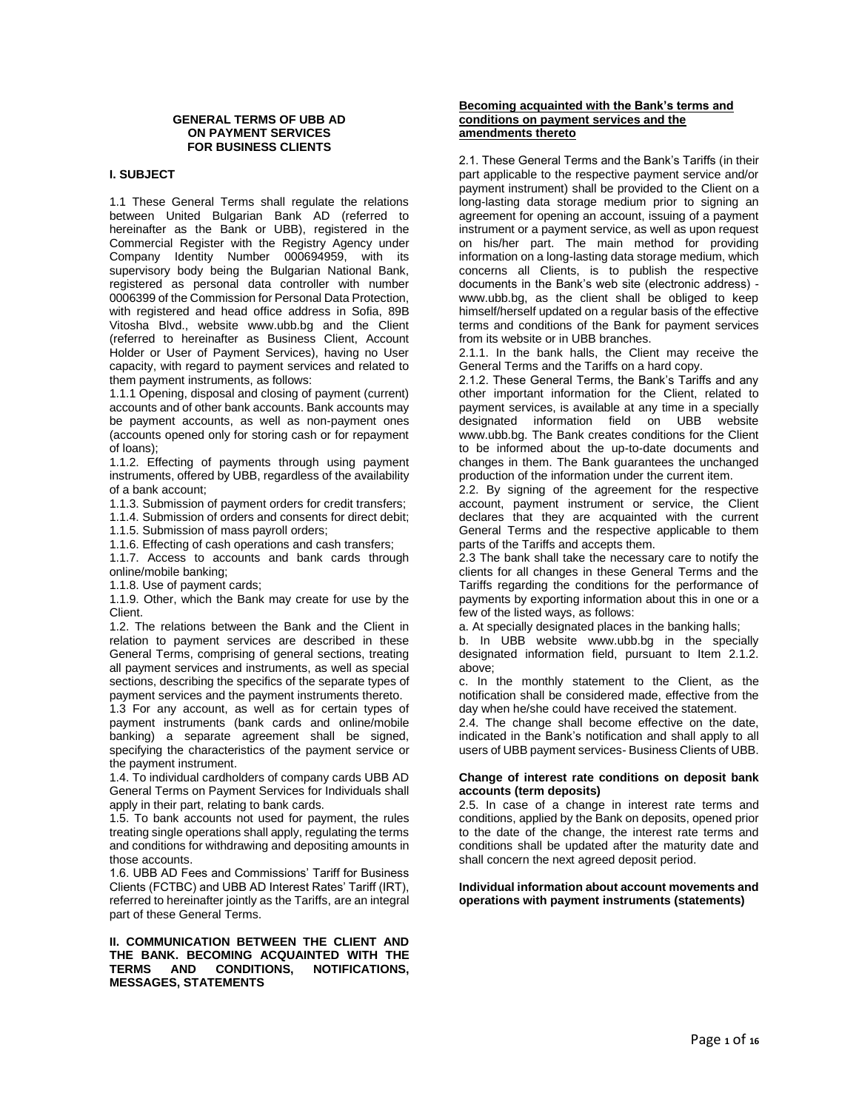#### **GENERAL TERMS OF UBB AD ON PAYMENT SERVICES FOR BUSINESS CLIENTS**

# **I. SUBJECT**

1.1 These General Terms shall regulate the relations between United Bulgarian Bank AD (referred to hereinafter as the Bank or UBB), registered in the Commercial Register with the Registry Agency under Company Identity Number 000694959, with its supervisory body being the Bulgarian National Bank, registered as personal data controller with number 0006399 of the Commission for Personal Data Protection, with registered and head office address in Sofia, 89B Vitosha Blvd., website www.ubb.bg and the Client (referred to hereinafter as Business Client, Account Holder or User of Payment Services), having no User capacity, with regard to payment services and related to them payment instruments, as follows:

1.1.1 Opening, disposal and closing of payment (current) accounts and of other bank accounts. Bank accounts may be payment accounts, as well as non-payment ones (accounts opened only for storing cash or for repayment of loans);

1.1.2. Effecting of payments through using payment instruments, offered by UBB, regardless of the availability of a bank account;

1.1.3. Submission of payment orders for credit transfers;

1.1.4. Submission of orders and consents for direct debit;

1.1.5. Submission of mass payroll orders;

1.1.6. Effecting of cash operations and cash transfers;

1.1.7. Access to accounts and bank cards through online/mobile banking;

1.1.8. Use of payment cards;

1.1.9. Other, which the Bank may create for use by the Client.

1.2. The relations between the Bank and the Client in relation to payment services are described in these General Terms, comprising of general sections, treating all payment services and instruments, as well as special sections, describing the specifics of the separate types of payment services and the payment instruments thereto.

1.3 For any account, as well as for certain types of payment instruments (bank cards and online/mobile banking) a separate agreement shall be signed, specifying the characteristics of the payment service or the payment instrument.

1.4. To individual cardholders of company cards UBB AD General Terms on Payment Services for Individuals shall apply in their part, relating to bank cards.

1.5. To bank accounts not used for payment, the rules treating single operations shall apply, regulating the terms and conditions for withdrawing and depositing amounts in those accounts.

1.6. UBB AD Fees and Commissions' Tariff for Business Clients (FCTBC) and UBB AD Interest Rates' Tariff (IRT), referred to hereinafter jointly as the Tariffs, are an integral part of these General Terms.

# **II. COMMUNICATION BETWEEN THE CLIENT AND THE BANK. BECOMING ACQUAINTED WITH THE NOTIFICATIONS, MESSAGES, STATEMENTS**

#### **Becoming acquainted with the Bank's terms and conditions on payment services and the amendments thereto**

2.1. These General Terms and the Bank's Tariffs (in their part applicable to the respective payment service and/or payment instrument) shall be provided to the Client on a long-lasting data storage medium prior to signing an agreement for opening an account, issuing of a payment instrument or a payment service, as well as upon request on his/her part. The main method for providing information on a long-lasting data storage medium, which concerns all Clients, is to publish the respective documents in the Bank's web site (electronic address) www.ubb.bg, as the client shall be obliged to keep himself/herself updated on a regular basis of the effective terms and conditions of the Bank for payment services from its website or in UBB branches.

2.1.1. In the bank halls, the Client may receive the General Terms and the Tariffs on a hard copy.

2.1.2. These General Terms, the Bank's Tariffs and any other important information for the Client, related to payment services, is available at any time in a specially designated information field on UBB website www.ubb.bg. The Bank creates conditions for the Client to be informed about the up-to-date documents and changes in them. The Bank guarantees the unchanged production of the information under the current item.

2.2. By signing of the agreement for the respective account, payment instrument or service, the Client declares that they are acquainted with the current General Terms and the respective applicable to them parts of the Tariffs and accepts them.

2.3 The bank shall take the necessary care to notify the clients for all changes in these General Terms and the Tariffs regarding the conditions for the performance of payments by exporting information about this in one or a few of the listed ways, as follows:

a. At specially designated places in the banking halls;

b. In UBB website www.ubb.bg in the specially designated information field, pursuant to Item 2.1.2. above;

c. In the monthly statement to the Client, as the notification shall be considered made, effective from the day when he/she could have received the statement.

2.4. The change shall become effective on the date, indicated in the Bank's notification and shall apply to all users of UBB payment services- Business Clients of UBB.

# **Change of interest rate conditions on deposit bank accounts (term deposits)**

2.5. In case of a change in interest rate terms and conditions, applied by the Bank on deposits, opened prior to the date of the change, the interest rate terms and conditions shall be updated after the maturity date and shall concern the next agreed deposit period.

#### **Individual information about account movements and operations with payment instruments (statements)**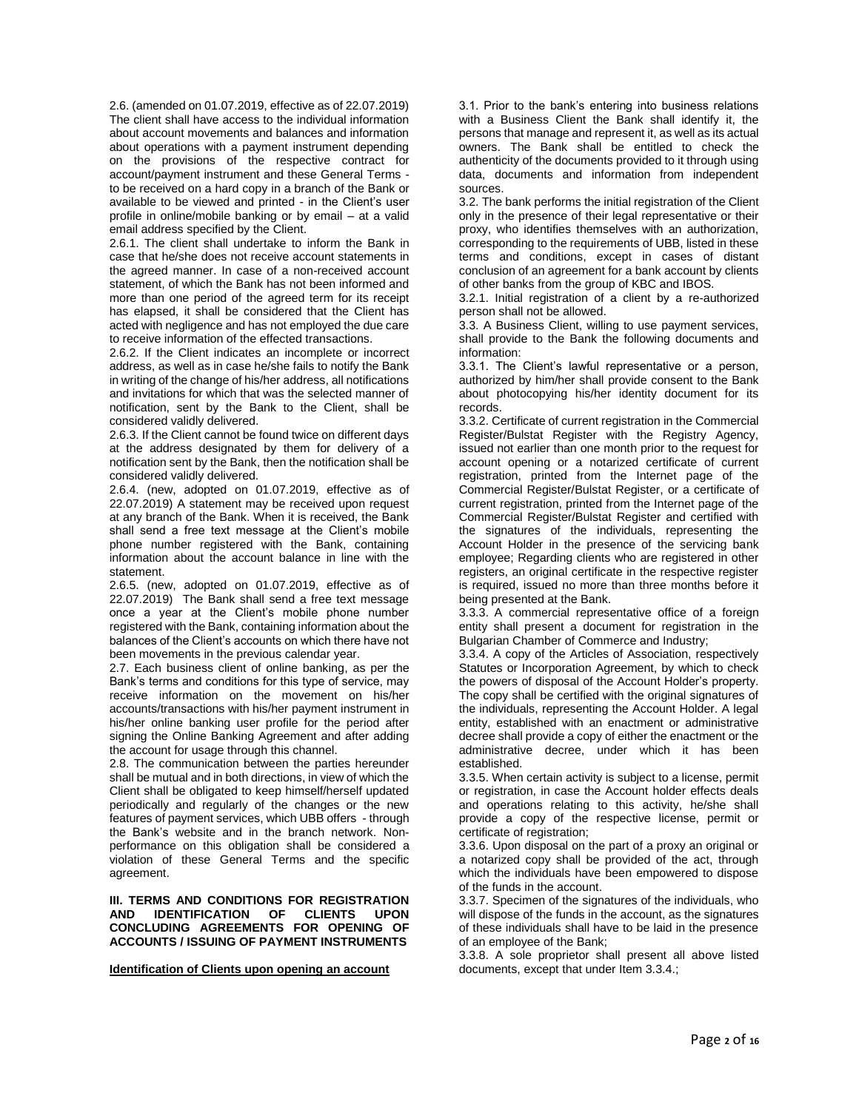2.6. (amended on 01.07.2019, effective as of 22.07.2019) The client shall have access to the individual information about account movements and balances and information about operations with a payment instrument depending on the provisions of the respective contract for account/payment instrument and these General Terms to be received on a hard copy in a branch of the Bank or available to be viewed and printed - in the Client's user profile in online/mobile banking or by email – at a valid email address specified by the Client.

2.6.1. The client shall undertake to inform the Bank in case that he/she does not receive account statements in the agreed manner. In case of a non-received account statement, of which the Bank has not been informed and more than one period of the agreed term for its receipt has elapsed, it shall be considered that the Client has acted with negligence and has not employed the due care to receive information of the effected transactions.

2.6.2. If the Client indicates an incomplete or incorrect address, as well as in case he/she fails to notify the Bank in writing of the change of his/her address, all notifications and invitations for which that was the selected manner of notification, sent by the Bank to the Client, shall be considered validly delivered.

2.6.3. If the Client cannot be found twice on different days at the address designated by them for delivery of a notification sent by the Bank, then the notification shall be considered validly delivered.

2.6.4. (new, adopted on 01.07.2019, effective as of 22.07.2019) A statement may be received upon request at any branch of the Bank. When it is received, the Bank shall send a free text message at the Client's mobile phone number registered with the Bank, containing information about the account balance in line with the statement.

2.6.5. (new, adopted on 01.07.2019, effective as of 22.07.2019) The Bank shall send a free text message once a year at the Client's mobile phone number registered with the Bank, containing information about the balances of the Client's accounts on which there have not been movements in the previous calendar year.

2.7. Each business client of online banking, as per the Bank's terms and conditions for this type of service, may receive information on the movement on his/her accounts/transactions with his/her payment instrument in his/her online banking user profile for the period after signing the Online Banking Agreement and after adding the account for usage through this channel.

2.8. The communication between the parties hereunder shall be mutual and in both directions, in view of which the Client shall be obligated to keep himself/herself updated periodically and regularly of the changes or the new features of payment services, which UBB offers - through the Bank's website and in the branch network. Nonperformance on this obligation shall be considered a violation of these General Terms and the specific agreement.

#### **III. TERMS AND CONDITIONS FOR REGISTRATION AND IDENTIFICATION OF CLIENTS UPON CONCLUDING AGREEMENTS FOR OPENING OF ACCOUNTS / ISSUING OF PAYMENT INSTRUMENTS**

# **Identification of Clients upon opening an account**

3.1. Prior to the bank's entering into business relations with a Business Client the Bank shall identify it, the persons that manage and represent it, as well as its actual owners. The Bank shall be entitled to check the authenticity of the documents provided to it through using data, documents and information from independent sources.

3.2. The bank performs the initial registration of the Client only in the presence of their legal representative or their proxy, who identifies themselves with an authorization, corresponding to the requirements of UBB, listed in these terms and conditions, except in cases of distant conclusion of an agreement for a bank account by clients of other banks from the group of KBC and IBOS.

3.2.1. Initial registration of a client by a re-authorized person shall not be allowed.

3.3. A Business Client, willing to use payment services, shall provide to the Bank the following documents and information:

3.3.1. The Client's lawful representative or a person, authorized by him/her shall provide consent to the Bank about photocopying his/her identity document for its records.

3.3.2. Certificate of current registration in the Commercial Register/Bulstat Register with the Registry Agency, issued not earlier than one month prior to the request for account opening or a notarized certificate of current registration, printed from the Internet page of the Commercial Register/Bulstat Register, or a certificate of current registration, printed from the Internet page of the Commercial Register/Bulstat Register and certified with the signatures of the individuals, representing the Account Holder in the presence of the servicing bank employee; Regarding clients who are registered in other registers, an original certificate in the respective register is required, issued no more than three months before it being presented at the Bank.

3.3.3. A commercial representative office of a foreign entity shall present a document for registration in the Bulgarian Chamber of Commerce and Industry;

3.3.4. A copy of the Articles of Association, respectively Statutes or Incorporation Agreement, by which to check the powers of disposal of the Account Holder's property. The copy shall be certified with the original signatures of the individuals, representing the Account Holder. A legal entity, established with an enactment or administrative decree shall provide a copy of either the enactment or the administrative decree, under which it has been established.

3.3.5. When certain activity is subject to a license, permit or registration, in case the Account holder effects deals and operations relating to this activity, he/she shall provide a copy of the respective license, permit or certificate of registration;

3.3.6. Upon disposal on the part of a proxy an original or a notarized copy shall be provided of the act, through which the individuals have been empowered to dispose of the funds in the account.

3.3.7. Specimen of the signatures of the individuals, who will dispose of the funds in the account, as the signatures of these individuals shall have to be laid in the presence of an employee of the Bank;

3.3.8. A sole proprietor shall present all above listed documents, except that under Item 3.3.4.;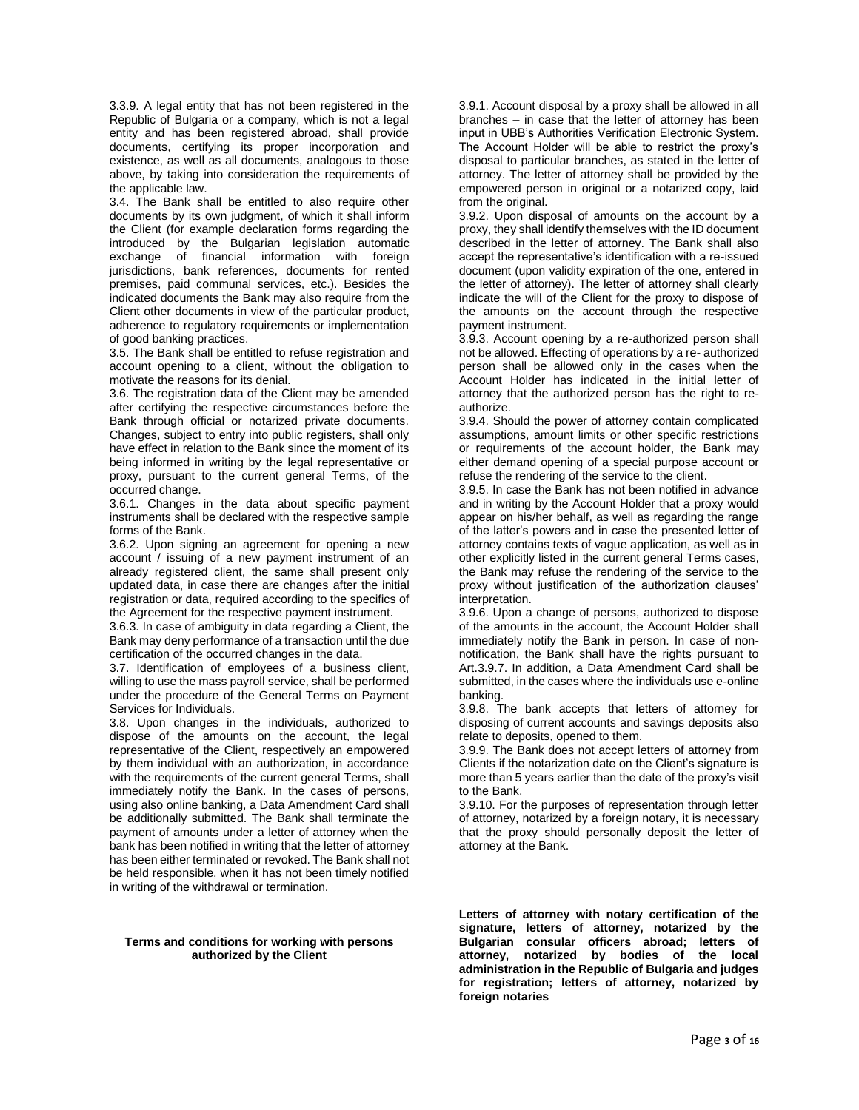3.3.9. A legal entity that has not been registered in the Republic of Bulgaria or a company, which is not a legal entity and has been registered abroad, shall provide documents, certifying its proper incorporation and existence, as well as all documents, analogous to those above, by taking into consideration the requirements of the applicable law.

3.4. The Bank shall be entitled to also require other documents by its own judgment, of which it shall inform the Client (for example declaration forms regarding the introduced by the Bulgarian legislation automatic exchange of financial information with foreign jurisdictions, bank references, documents for rented premises, paid communal services, etc.). Besides the indicated documents the Bank may also require from the Client other documents in view of the particular product, adherence to regulatory requirements or implementation of good banking practices.

3.5. The Bank shall be entitled to refuse registration and account opening to a client, without the obligation to motivate the reasons for its denial.

3.6. The registration data of the Client may be amended after certifying the respective circumstances before the Bank through official or notarized private documents. Changes, subject to entry into public registers, shall only have effect in relation to the Bank since the moment of its being informed in writing by the legal representative or proxy, pursuant to the current general Terms, of the occurred change.

3.6.1. Changes in the data about specific payment instruments shall be declared with the respective sample forms of the Bank.

3.6.2. Upon signing an agreement for opening a new account / issuing of a new payment instrument of an already registered client, the same shall present only updated data, in case there are changes after the initial registration or data, required according to the specifics of the Agreement for the respective payment instrument.

3.6.3. In case of ambiguity in data regarding a Client, the Bank may deny performance of a transaction until the due certification of the occurred changes in the data.

3.7. Identification of employees of a business client, willing to use the mass payroll service, shall be performed under the procedure of the General Terms on Payment Services for Individuals.

3.8. Upon changes in the individuals, authorized to dispose of the amounts on the account, the legal representative of the Client, respectively an empowered by them individual with an authorization, in accordance with the requirements of the current general Terms, shall immediately notify the Bank. In the cases of persons, using also online banking, a Data Amendment Card shall be additionally submitted. The Bank shall terminate the payment of amounts under a letter of attorney when the bank has been notified in writing that the letter of attorney has been either terminated or revoked. The Bank shall not be held responsible, when it has not been timely notified in writing of the withdrawal or termination.

#### **Terms and conditions for working with persons authorized by the Client**

3.9.1. Account disposal by a proxy shall be allowed in all branches – in case that the letter of attorney has been input in UBB's Authorities Verification Electronic System. The Account Holder will be able to restrict the proxy's disposal to particular branches, as stated in the letter of attorney. The letter of attorney shall be provided by the empowered person in original or a notarized copy, laid from the original.

3.9.2. Upon disposal of amounts on the account by a proxy, they shall identify themselves with the ID document described in the letter of attorney. The Bank shall also accept the representative's identification with a re-issued document (upon validity expiration of the one, entered in the letter of attorney). The letter of attorney shall clearly indicate the will of the Client for the proxy to dispose of the amounts on the account through the respective payment instrument.

3.9.3. Account opening by a re-authorized person shall not be allowed. Effecting of operations by a re- authorized person shall be allowed only in the cases when the Account Holder has indicated in the initial letter of attorney that the authorized person has the right to reauthorize.

3.9.4. Should the power of attorney contain complicated assumptions, amount limits or other specific restrictions or requirements of the account holder, the Bank may either demand opening of a special purpose account or refuse the rendering of the service to the client.

3.9.5. In case the Bank has not been notified in advance and in writing by the Account Holder that a proxy would appear on his/her behalf, as well as regarding the range of the latter's powers and in case the presented letter of attorney contains texts of vague application, as well as in other explicitly listed in the current general Terms cases, the Bank may refuse the rendering of the service to the proxy without justification of the authorization clauses' interpretation.

3.9.6. Upon a change of persons, authorized to dispose of the amounts in the account, the Account Holder shall immediately notify the Bank in person. In case of nonnotification, the Bank shall have the rights pursuant to Art.3.9.7. In addition, a Data Amendment Card shall be submitted, in the cases where the individuals use e-online banking.

3.9.8. The bank accepts that letters of attorney for disposing of current accounts and savings deposits also relate to deposits, opened to them.

3.9.9. The Bank does not accept letters of attorney from Clients if the notarization date on the Client's signature is more than 5 years earlier than the date of the proxy's visit to the Bank.

3.9.10. For the purposes of representation through letter of attorney, notarized by a foreign notary, it is necessary that the proxy should personally deposit the letter of attorney at the Bank.

**Letters of attorney with notary certification of the signature, letters of attorney, notarized by the Bulgarian consular officers abroad; letters of**  attorney, notarized by bodies of **administration in the Republic of Bulgaria and judges for registration; letters of attorney, notarized by foreign notaries**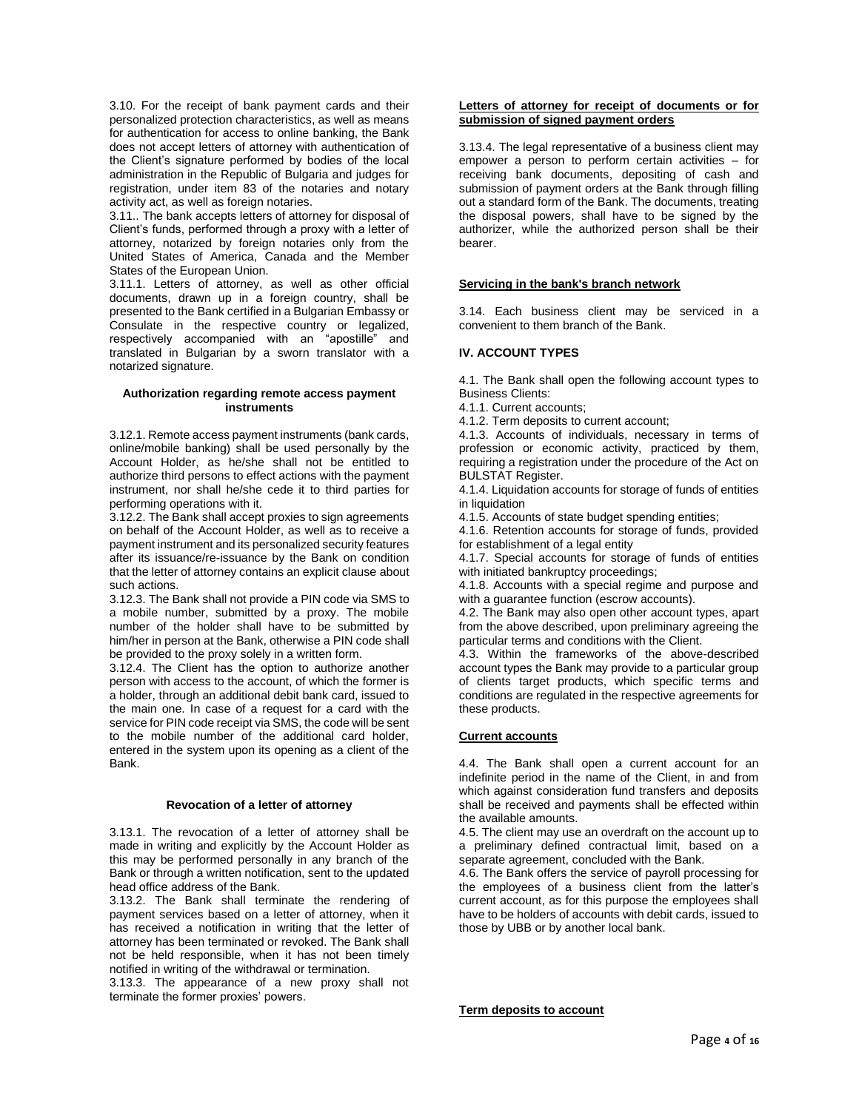3.10. For the receipt of bank payment cards and their personalized protection characteristics, as well as means for authentication for access to online banking, the Bank does not accept letters of attorney with authentication of the Client's signature performed by bodies of the local administration in the Republic of Bulgaria and judges for registration, under item 83 of the notaries and notary activity act, as well as foreign notaries.

3.11.. The bank accepts letters of attorney for disposal of Client's funds, performed through a proxy with a letter of attorney, notarized by foreign notaries only from the United States of America, Canada and the Member States of the European Union.

3.11.1. Letters of attorney, as well as other official documents, drawn up in a foreign country, shall be presented to the Bank certified in a Bulgarian Embassy or Consulate in the respective country or legalized, respectively accompanied with an "apostille" and translated in Bulgarian by a sworn translator with a notarized signature.

#### **Authorization regarding remote access payment instruments**

3.12.1. Remote access payment instruments (bank cards, online/mobile banking) shall be used personally by the Account Holder, as he/she shall not be entitled to authorize third persons to effect actions with the payment instrument, nor shall he/she cede it to third parties for performing operations with it.

3.12.2. The Bank shall accept proxies to sign agreements on behalf of the Account Holder, as well as to receive a payment instrument and its personalized security features after its issuance/re-issuance by the Bank on condition that the letter of attorney contains an explicit clause about such actions.

3.12.3. The Bank shall not provide a PIN code via SMS to a mobile number, submitted by a proxy. The mobile number of the holder shall have to be submitted by him/her in person at the Bank, otherwise a PIN code shall be provided to the proxy solely in a written form.

3.12.4. The Client has the option to authorize another person with access to the account, of which the former is a holder, through an additional debit bank card, issued to the main one. In case of a request for a card with the service for PIN code receipt via SMS, the code will be sent to the mobile number of the additional card holder, entered in the system upon its opening as a client of the Bank.

# **Revocation of a letter of attorney**

3.13.1. The revocation of a letter of attorney shall be made in writing and explicitly by the Account Holder as this may be performed personally in any branch of the Bank or through a written notification, sent to the updated head office address of the Bank.

3.13.2. The Bank shall terminate the rendering of payment services based on a letter of attorney, when it has received a notification in writing that the letter of attorney has been terminated or revoked. The Bank shall not be held responsible, when it has not been timely notified in writing of the withdrawal or termination.

3.13.3. The appearance of a new proxy shall not terminate the former proxies' powers.

# **Letters of attorney for receipt of documents or for submission of signed payment orders**

3.13.4. The legal representative of a business client may empower a person to perform certain activities – for receiving bank documents, depositing of cash and submission of payment orders at the Bank through filling out a standard form of the Bank. The documents, treating the disposal powers, shall have to be signed by the authorizer, while the authorized person shall be their bearer.

# **Servicing in the bank's branch network**

3.14. Each business client may be serviced in a convenient to them branch of the Bank.

# **IV. ACCOUNT TYPES**

4.1. The Bank shall open the following account types to Business Clients:

- 4.1.1. Current accounts;
- 4.1.2. Term deposits to current account;

4.1.3. Accounts of individuals, necessary in terms of profession or economic activity, practiced by them, requiring a registration under the procedure of the Act on BULSTAT Register.

4.1.4. Liquidation accounts for storage of funds of entities in liquidation

4.1.5. Accounts of state budget spending entities;

4.1.6. Retention accounts for storage of funds, provided for establishment of a legal entity

4.1.7. Special accounts for storage of funds of entities with initiated bankruptcy proceedings;

4.1.8. Accounts with a special regime and purpose and with a guarantee function (escrow accounts).

4.2. The Bank may also open other account types, apart from the above described, upon preliminary agreeing the particular terms and conditions with the Client.

4.3. Within the frameworks of the above-described account types the Bank may provide to a particular group of clients target products, which specific terms and conditions are regulated in the respective agreements for these products.

# **Current accounts**

4.4. The Bank shall open a current account for an indefinite period in the name of the Client, in and from which against consideration fund transfers and deposits shall be received and payments shall be effected within the available amounts.

4.5. The client may use an overdraft on the account up to a preliminary defined contractual limit, based on a separate agreement, concluded with the Bank.

4.6. The Bank offers the service of payroll processing for the employees of a business client from the latter's current account, as for this purpose the employees shall have to be holders of accounts with debit cards, issued to those by UBB or by another local bank.

**Term deposits to account**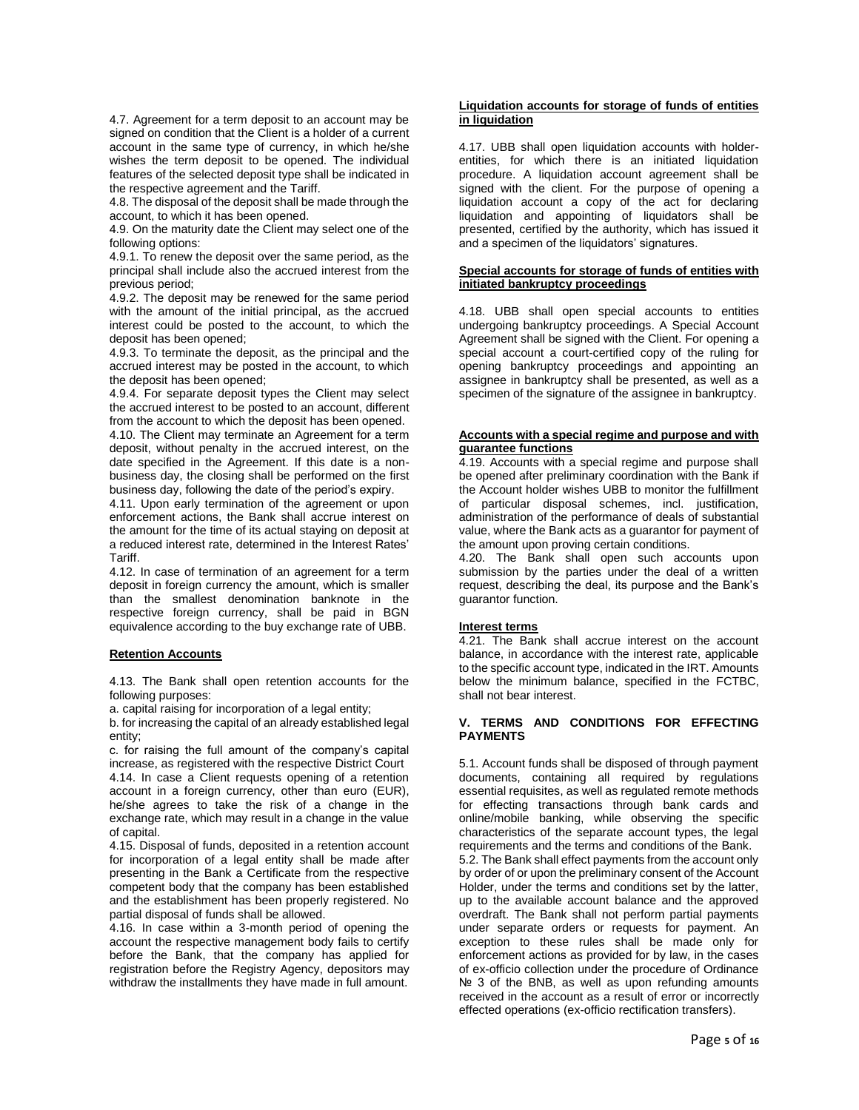4.7. Agreement for a term deposit to an account may be signed on condition that the Client is a holder of a current account in the same type of currency, in which he/she wishes the term deposit to be opened. The individual features of the selected deposit type shall be indicated in the respective agreement and the Tariff.

4.8. The disposal of the deposit shall be made through the account, to which it has been opened.

4.9. On the maturity date the Client may select one of the following options:

4.9.1. To renew the deposit over the same period, as the principal shall include also the accrued interest from the previous period;

4.9.2. The deposit may be renewed for the same period with the amount of the initial principal, as the accrued interest could be posted to the account, to which the deposit has been opened;

4.9.3. To terminate the deposit, as the principal and the accrued interest may be posted in the account, to which the deposit has been opened;

4.9.4. For separate deposit types the Client may select the accrued interest to be posted to an account, different from the account to which the deposit has been opened.

4.10. The Client may terminate an Agreement for a term deposit, without penalty in the accrued interest, on the date specified in the Agreement. If this date is a nonbusiness day, the closing shall be performed on the first business day, following the date of the period's expiry.

4.11. Upon early termination of the agreement or upon enforcement actions, the Bank shall accrue interest on the amount for the time of its actual staying on deposit at a reduced interest rate, determined in the Interest Rates' Tariff.

4.12. In case of termination of an agreement for a term deposit in foreign currency the amount, which is smaller than the smallest denomination banknote in the respective foreign currency, shall be paid in BGN equivalence according to the buy exchange rate of UBB.

# **Retention Accounts**

4.13. The Bank shall open retention accounts for the following purposes:

a. capital raising for incorporation of a legal entity;

b. for increasing the capital of an already established legal entity;

c. for raising the full amount of the company's capital increase, as registered with the respective District Court 4.14. In case a Client requests opening of a retention account in a foreign currency, other than euro (EUR), he/she agrees to take the risk of a change in the exchange rate, which may result in a change in the value of capital.

4.15. Disposal of funds, deposited in a retention account for incorporation of a legal entity shall be made after presenting in the Bank a Certificate from the respective competent body that the company has been established and the establishment has been properly registered. No partial disposal of funds shall be allowed.

4.16. In case within a 3-month period of opening the account the respective management body fails to certify before the Bank, that the company has applied for registration before the Registry Agency, depositors may withdraw the installments they have made in full amount.

#### **Liquidation accounts for storage of funds of entities in liquidation**

4.17. UBB shall open liquidation accounts with holderentities, for which there is an initiated liquidation procedure. A liquidation account agreement shall be signed with the client. For the purpose of opening a liquidation account a copy of the act for declaring liquidation and appointing of liquidators shall be presented, certified by the authority, which has issued it and a specimen of the liquidators' signatures.

# **Special accounts for storage of funds of entities with initiated bankruptcy proceedings**

4.18. UBB shall open special accounts to entities undergoing bankruptcy proceedings. A Special Account Agreement shall be signed with the Client. For opening a special account a court-certified copy of the ruling for opening bankruptcy proceedings and appointing an assignee in bankruptcy shall be presented, as well as a specimen of the signature of the assignee in bankruptcy.

#### **Accounts with a special regime and purpose and with guarantee functions**

4.19. Accounts with a special regime and purpose shall be opened after preliminary coordination with the Bank if the Account holder wishes UBB to monitor the fulfillment of particular disposal schemes, incl. justification, administration of the performance of deals of substantial value, where the Bank acts as a guarantor for payment of the amount upon proving certain conditions.

4.20. The Bank shall open such accounts upon submission by the parties under the deal of a written request, describing the deal, its purpose and the Bank's guarantor function.

#### **Interest terms**

4.21. The Bank shall accrue interest on the account balance, in accordance with the interest rate, applicable to the specific account type, indicated in the IRT. Amounts below the minimum balance, specified in the FCTBC, shall not bear interest.

# **V. TERMS AND CONDITIONS FOR EFFECTING PAYMENTS**

5.1. Account funds shall be disposed of through payment documents, containing all required by regulations essential requisites, as well as regulated remote methods for effecting transactions through bank cards and online/mobile banking, while observing the specific characteristics of the separate account types, the legal requirements and the terms and conditions of the Bank. 5.2. The Bank shall effect payments from the account only by order of or upon the preliminary consent of the Account Holder, under the terms and conditions set by the latter, up to the available account balance and the approved overdraft. The Bank shall not perform partial payments under separate orders or requests for payment. An exception to these rules shall be made only for enforcement actions as provided for by law, in the cases of ex-officio collection under the procedure of Ordinance Nº 3 of the BNB, as well as upon refunding amounts received in the account as a result of error or incorrectly effected operations (ex-officio rectification transfers).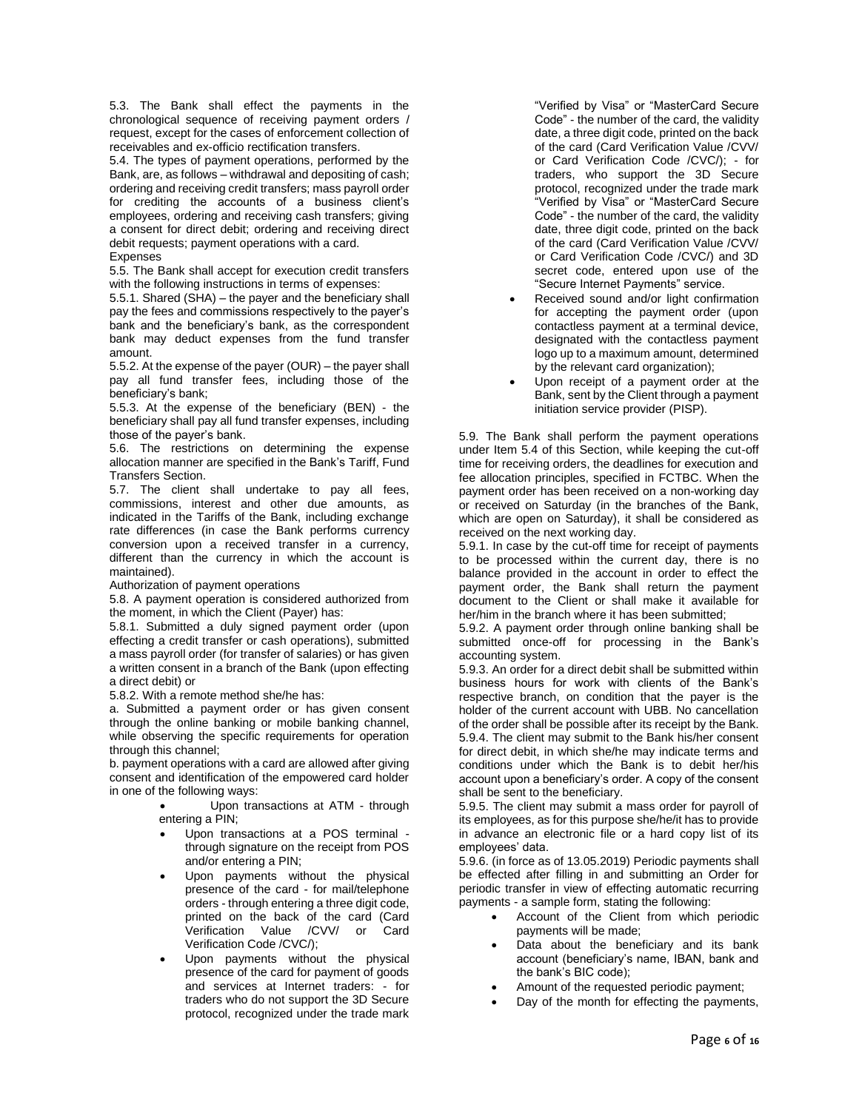5.3. The Bank shall effect the payments in the chronological sequence of receiving payment orders / request, except for the cases of enforcement collection of receivables and ex-officio rectification transfers.

5.4. The types of payment operations, performed by the Bank, are, as follows – withdrawal and depositing of cash; ordering and receiving credit transfers; mass payroll order for crediting the accounts of a business client's employees, ordering and receiving cash transfers; giving a consent for direct debit; ordering and receiving direct debit requests; payment operations with a card. **Expenses** 

5.5. The Bank shall accept for execution credit transfers with the following instructions in terms of expenses:

5.5.1. Shared (SHA) – the payer and the beneficiary shall pay the fees and commissions respectively to the payer's bank and the beneficiary's bank, as the correspondent bank may deduct expenses from the fund transfer amount.

5.5.2. At the expense of the payer (OUR) – the payer shall pay all fund transfer fees, including those of the beneficiary's bank;

5.5.3. At the expense of the beneficiary (BEN) - the beneficiary shall pay all fund transfer expenses, including those of the payer's bank.

5.6. The restrictions on determining the expense allocation manner are specified in the Bank's Tariff, Fund Transfers Section.

5.7. The client shall undertake to pay all fees, commissions, interest and other due amounts, as indicated in the Tariffs of the Bank, including exchange rate differences (in case the Bank performs currency conversion upon a received transfer in a currency, different than the currency in which the account is maintained).

Authorization of payment operations

5.8. A payment operation is considered authorized from the moment, in which the Client (Payer) has:

5.8.1. Submitted a duly signed payment order (upon effecting a credit transfer or cash operations), submitted a mass payroll order (for transfer of salaries) or has given a written consent in a branch of the Bank (upon effecting a direct debit) or

5.8.2. With a remote method she/he has:

a. Submitted a payment order or has given consent through the online banking or mobile banking channel, while observing the specific requirements for operation through this channel;

b. payment operations with a card are allowed after giving consent and identification of the empowered card holder in one of the following ways:

> Upon transactions at ATM - through entering a PIN;

- Upon transactions at a POS terminal through signature on the receipt from POS and/or entering a PIN;
- Upon payments without the physical presence of the card - for mail/telephone orders - through entering a three digit code, printed on the back of the card (Card Verification Value /CVV/ or Card Verification Code /CVC/);
- Upon payments without the physical presence of the card for payment of goods and services at Internet traders: - for traders who do not support the 3D Secure protocol, recognized under the trade mark

"Verified by Visa" or "MasterCard Secure Code" - the number of the card, the validity date, a three digit code, printed on the back of the card (Card Verification Value /CVV/ or Card Verification Code /CVC/); - for traders, who support the 3D Secure protocol, recognized under the trade mark "Verified by Visa" or "MasterCard Secure Code" - the number of the card, the validity date, three digit code, printed on the back of the card (Card Verification Value /CVV/ or Card Verification Code /CVC/) and 3D secret code, entered upon use of the "Secure Internet Payments" service.

- Received sound and/or light confirmation for accepting the payment order (upon contactless payment at a terminal device, designated with the contactless payment logo up to a maximum amount, determined by the relevant card organization);
- Upon receipt of a payment order at the Bank, sent by the Client through a payment initiation service provider (PISP).

5.9. The Bank shall perform the payment operations under Item 5.4 of this Section, while keeping the cut-off time for receiving orders, the deadlines for execution and fee allocation principles, specified in FCTBC. When the payment order has been received on a non-working day or received on Saturday (in the branches of the Bank, which are open on Saturday), it shall be considered as received on the next working day.

5.9.1. In case by the cut-off time for receipt of payments to be processed within the current day, there is no balance provided in the account in order to effect the payment order, the Bank shall return the payment document to the Client or shall make it available for her/him in the branch where it has been submitted;

5.9.2. A payment order through online banking shall be submitted once-off for processing in the Bank's accounting system.

5.9.3. An order for a direct debit shall be submitted within business hours for work with clients of the Bank's respective branch, on condition that the payer is the holder of the current account with UBB. No cancellation of the order shall be possible after its receipt by the Bank. 5.9.4. The client may submit to the Bank his/her consent for direct debit, in which she/he may indicate terms and conditions under which the Bank is to debit her/his account upon a beneficiary's order. A copy of the consent shall be sent to the beneficiary.

5.9.5. The client may submit a mass order for payroll of its employees, as for this purpose she/he/it has to provide in advance an electronic file or a hard copy list of its employees' data.

5.9.6. (in force as of 13.05.2019) Periodic payments shall be effected after filling in and submitting an Order for periodic transfer in view of effecting automatic recurring payments - a sample form, stating the following:

- Account of the Client from which periodic payments will be made;
- Data about the beneficiary and its bank account (beneficiary's name, IBAN, bank and the bank's BIC code);
- Amount of the requested periodic payment;
- Day of the month for effecting the payments,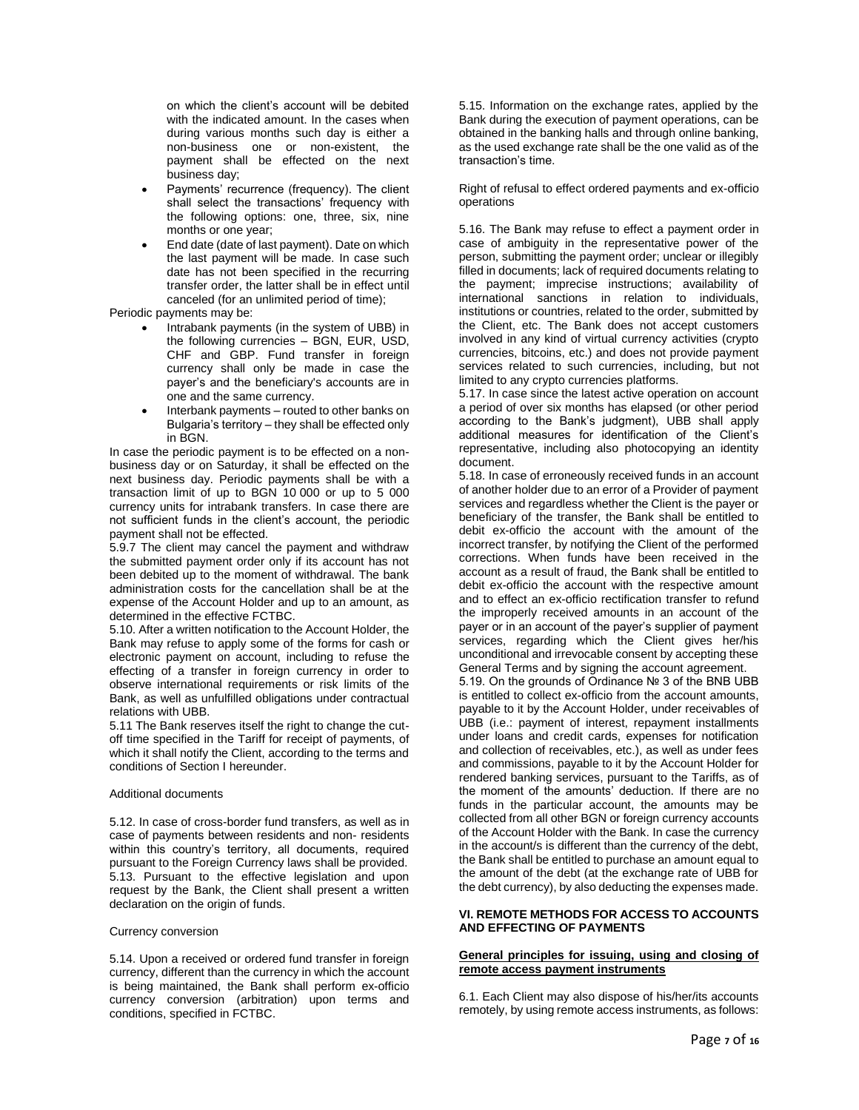on which the client's account will be debited with the indicated amount. In the cases when during various months such day is either a non-business one or non-existent, the payment shall be effected on the next business day;

- Payments' recurrence (frequency). The client shall select the transactions' frequency with the following options: one, three, six, nine months or one year;
- End date (date of last payment). Date on which the last payment will be made. In case such date has not been specified in the recurring transfer order, the latter shall be in effect until canceled (for an unlimited period of time);

Periodic payments may be:

- Intrabank payments (in the system of UBB) in the following currencies – BGN, EUR, USD, CHF and GBP. Fund transfer in foreign currency shall only be made in case the payer's and the beneficiary's accounts are in one and the same currency.
- Interbank payments routed to other banks on Bulgaria's territory – they shall be effected only in BGN.

In case the periodic payment is to be effected on a nonbusiness day or on Saturday, it shall be effected on the next business day. Periodic payments shall be with a transaction limit of up to BGN 10 000 or up to 5 000 currency units for intrabank transfers. In case there are not sufficient funds in the client's account, the periodic payment shall not be effected.

5.9.7 The client may cancel the payment and withdraw the submitted payment order only if its account has not been debited up to the moment of withdrawal. The bank administration costs for the cancellation shall be at the expense of the Account Holder and up to an amount, as determined in the effective FCTBC.

5.10. After a written notification to the Account Holder, the Bank may refuse to apply some of the forms for cash or electronic payment on account, including to refuse the effecting of a transfer in foreign currency in order to observe international requirements or risk limits of the Bank, as well as unfulfilled obligations under contractual relations with UBB.

5.11 The Bank reserves itself the right to change the cutoff time specified in the Tariff for receipt of payments, of which it shall notify the Client, according to the terms and conditions of Section I hereunder.

#### Additional documents

5.12. In case of cross-border fund transfers, as well as in case of payments between residents and non- residents within this country's territory, all documents, required pursuant to the Foreign Currency laws shall be provided. 5.13. Pursuant to the effective legislation and upon request by the Bank, the Client shall present a written declaration on the origin of funds.

#### Currency conversion

5.14. Upon a received or ordered fund transfer in foreign currency, different than the currency in which the account is being maintained, the Bank shall perform ex-officio currency conversion (arbitration) upon terms and conditions, specified in FCTBC.

5.15. Information on the exchange rates, applied by the Bank during the execution of payment operations, can be obtained in the banking halls and through online banking, as the used exchange rate shall be the one valid as of the transaction's time.

Right of refusal to effect ordered payments and ex-officio operations

5.16. The Bank may refuse to effect a payment order in case of ambiguity in the representative power of the person, submitting the payment order; unclear or illegibly filled in documents; lack of required documents relating to the payment; imprecise instructions; availability of international sanctions in relation to individuals, institutions or countries, related to the order, submitted by the Client, etc. The Bank does not accept customers involved in any kind of virtual currency activities (crypto currencies, bitcoins, etc.) and does not provide payment services related to such currencies, including, but not limited to any crypto currencies platforms.

5.17. In case since the latest active operation on account a period of over six months has elapsed (or other period according to the Bank's judgment), UBB shall apply additional measures for identification of the Client's representative, including also photocopying an identity document.

5.18. In case of erroneously received funds in an account of another holder due to an error of a Provider of payment services and regardless whether the Client is the payer or beneficiary of the transfer, the Bank shall be entitled to debit ex-officio the account with the amount of the incorrect transfer, by notifying the Client of the performed corrections. When funds have been received in the account as a result of fraud, the Bank shall be entitled to debit ex-officio the account with the respective amount and to effect an ex-officio rectification transfer to refund the improperly received amounts in an account of the payer or in an account of the payer's supplier of payment services, regarding which the Client gives her/his unconditional and irrevocable consent by accepting these General Terms and by signing the account agreement. 5.19. On the grounds of Ordinance № 3 of the BNB UBB is entitled to collect ex-officio from the account amounts, payable to it by the Account Holder, under receivables of UBB (i.e.: payment of interest, repayment installments under loans and credit cards, expenses for notification and collection of receivables, etc.), as well as under fees and commissions, payable to it by the Account Holder for rendered banking services, pursuant to the Tariffs, as of the moment of the amounts' deduction. If there are no funds in the particular account, the amounts may be collected from all other BGN or foreign currency accounts of the Account Holder with the Bank. In case the currency in the account/s is different than the currency of the debt, the Bank shall be entitled to purchase an amount equal to the amount of the debt (at the exchange rate of UBB for the debt currency), by also deducting the expenses made.

# **VI. REMOTE METHODS FOR ACCESS TO ACCOUNTS AND EFFECTING OF PAYMENTS**

#### **General principles for issuing, using and closing of remote access payment instruments**

6.1. Each Client may also dispose of his/her/its accounts remotely, by using remote access instruments, as follows: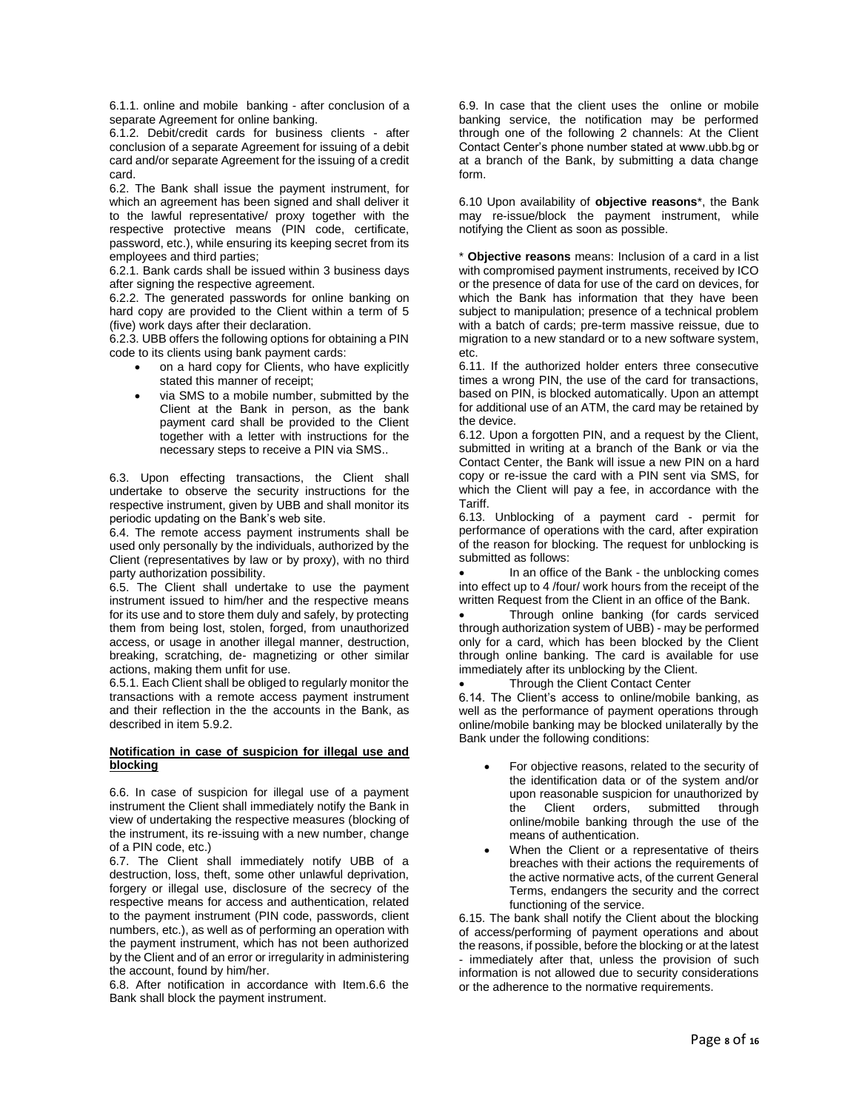6.1.1. online and mobile banking - after conclusion of a separate Agreement for online banking.

6.1.2. Debit/credit cards for business clients - after conclusion of a separate Agreement for issuing of a debit card and/or separate Agreement for the issuing of a credit card.

6.2. The Bank shall issue the payment instrument, for which an agreement has been signed and shall deliver it to the lawful representative/ proxy together with the respective protective means (PIN code, certificate, password, etc.), while ensuring its keeping secret from its employees and third parties;

6.2.1. Bank cards shall be issued within 3 business days after signing the respective agreement.

6.2.2. The generated passwords for online banking on hard copy are provided to the Client within a term of 5 (five) work days after their declaration.

6.2.3. UBB offers the following options for obtaining a PIN code to its clients using bank payment cards:

- on a hard copy for Clients, who have explicitly stated this manner of receipt;
- via SMS to a mobile number, submitted by the Client at the Bank in person, as the bank payment card shall be provided to the Client together with a letter with instructions for the necessary steps to receive a PIN via SMS..

6.3. Upon effecting transactions, the Client shall undertake to observe the security instructions for the respective instrument, given by UBB and shall monitor its periodic updating on the Bank's web site.

6.4. The remote access payment instruments shall be used only personally by the individuals, authorized by the Client (representatives by law or by proxy), with no third party authorization possibility.

6.5. The Client shall undertake to use the payment instrument issued to him/her and the respective means for its use and to store them duly and safely, by protecting them from being lost, stolen, forged, from unauthorized access, or usage in another illegal manner, destruction, breaking, scratching, de- magnetizing or other similar actions, making them unfit for use.

6.5.1. Each Client shall be obliged to regularly monitor the transactions with a remote access payment instrument and their reflection in the the accounts in the Bank, as described in item 5.9.2.

# **Notification in case of suspicion for illegal use and blocking**

6.6. In case of suspicion for illegal use of a payment instrument the Client shall immediately notify the Bank in view of undertaking the respective measures (blocking of the instrument, its re-issuing with a new number, change of a PIN code, etc.)

6.7. The Client shall immediately notify UBB of a destruction, loss, theft, some other unlawful deprivation, forgery or illegal use, disclosure of the secrecy of the respective means for access and authentication, related to the payment instrument (PIN code, passwords, client numbers, etc.), as well as of performing an operation with the payment instrument, which has not been authorized by the Client and of an error or irregularity in administering the account, found by him/her.

6.8. After notification in accordance with Item.6.6 the Bank shall block the payment instrument.

6.9. In case that the client uses the online or mobile banking service, the notification may be performed through one of the following 2 channels: At the Client Contact Center's phone number stated at www.ubb.bg or at a branch of the Bank, by submitting a data change form.

6.10 Upon availability of **objective reasons**\*, the Bank may re-issue/block the payment instrument, while notifying the Client as soon as possible.

\* **Objective reasons** means: Inclusion of a card in a list with compromised payment instruments, received by ICO or the presence of data for use of the card on devices, for which the Bank has information that they have been subject to manipulation; presence of a technical problem with a batch of cards; pre-term massive reissue, due to migration to a new standard or to a new software system, etc.

6.11. If the authorized holder enters three consecutive times a wrong PIN, the use of the card for transactions, based on PIN, is blocked automatically. Upon an attempt for additional use of an ATM, the card may be retained by the device.

6.12. Upon a forgotten PIN, and a request by the Client, submitted in writing at a branch of the Bank or via the Contact Center, the Bank will issue a new PIN on a hard copy or re-issue the card with a PIN sent via SMS, for which the Client will pay a fee, in accordance with the Tariff.

6.13. Unblocking of a payment card - permit for performance of operations with the card, after expiration of the reason for blocking. The request for unblocking is submitted as follows:

 In an office of the Bank - the unblocking comes into effect up to 4 /four/ work hours from the receipt of the written Request from the Client in an office of the Bank.

 Through online banking (for cards serviced through authorization system of UBB) - may be performed only for a card, which has been blocked by the Client through online banking. The card is available for use immediately after its unblocking by the Client.

Through the Client Contact Center

6.14. The Client's access to online/mobile banking, as well as the performance of payment operations through online/mobile banking may be blocked unilaterally by the Bank under the following conditions:

- For objective reasons, related to the security of the identification data or of the system and/or upon reasonable suspicion for unauthorized by<br>the Client orders, submitted through the Client orders, submitted through online/mobile banking through the use of the means of authentication.
- When the Client or a representative of theirs breaches with their actions the requirements of the active normative acts, of the current General Terms, endangers the security and the correct functioning of the service.

6.15. The bank shall notify the Client about the blocking of access/performing of payment operations and about the reasons, if possible, before the blocking or at the latest - immediately after that, unless the provision of such information is not allowed due to security considerations or the adherence to the normative requirements.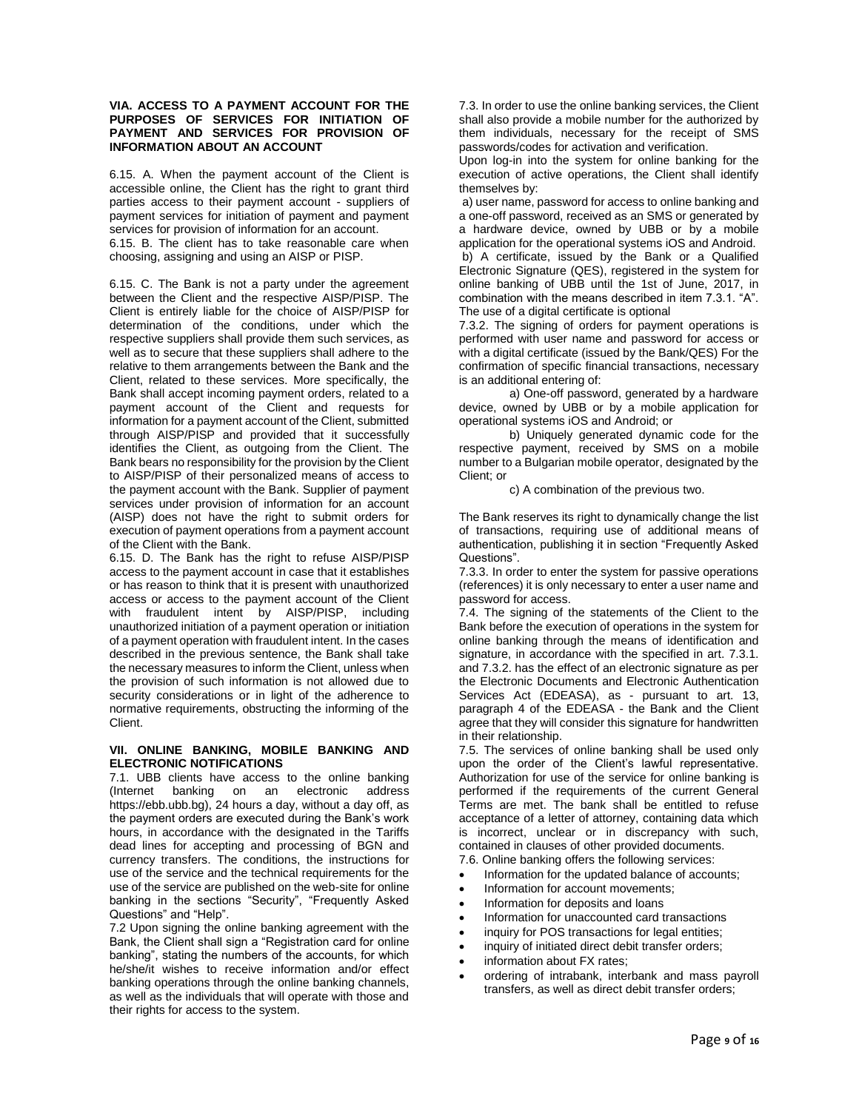# **VIA. ACCESS TO A PAYMENT ACCOUNT FOR THE PURPOSES OF SERVICES FOR INITIATION OF PAYMENT AND SERVICES FOR PROVISION OF INFORMATION ABOUT AN ACCOUNT**

6.15. A. When the payment account of the Client is accessible online, the Client has the right to grant third parties access to their payment account - suppliers of payment services for initiation of payment and payment services for provision of information for an account.

6.15. B. The client has to take reasonable care when choosing, assigning and using an AISP or PISP.

6.15. C. The Bank is not a party under the agreement between the Client and the respective AISP/PISP. The Client is entirely liable for the choice of AISP/PISP for determination of the conditions, under which the respective suppliers shall provide them such services, as well as to secure that these suppliers shall adhere to the relative to them arrangements between the Bank and the Client, related to these services. More specifically, the Bank shall accept incoming payment orders, related to a payment account of the Client and requests for information for a payment account of the Client, submitted through AISP/PISP and provided that it successfully identifies the Client, as outgoing from the Client. The Bank bears no responsibility for the provision by the Client to AISP/PISP of their personalized means of access to the payment account with the Bank. Supplier of payment services under provision of information for an account (AISP) does not have the right to submit orders for execution of payment operations from a payment account of the Client with the Bank.

6.15. D. The Bank has the right to refuse AISP/PISP access to the payment account in case that it establishes or has reason to think that it is present with unauthorized access or access to the payment account of the Client with fraudulent intent by AISP/PISP, including unauthorized initiation of a payment operation or initiation of a payment operation with fraudulent intent. In the cases described in the previous sentence, the Bank shall take the necessary measures to inform the Client, unless when the provision of such information is not allowed due to security considerations or in light of the adherence to normative requirements, obstructing the informing of the Client.

#### **VII. ONLINE BANKING, MOBILE BANKING AND ELECTRONIC NOTIFICATIONS**

7.1. UBB clients have access to the online banking (Internet banking on an electronic address https://ebb.ubb.bg), 24 hours a day, without a day off, as the payment orders are executed during the Bank's work hours, in accordance with the designated in the Tariffs dead lines for accepting and processing of BGN and currency transfers. The conditions, the instructions for use of the service and the technical requirements for the use of the service are published on the web-site for online banking in the sections "Security", "Frequently Asked Questions" and "Help".

7.2 Upon signing the online banking agreement with the Bank, the Client shall sign a "Registration card for online banking", stating the numbers of the accounts, for which he/she/it wishes to receive information and/or effect banking operations through the online banking channels, as well as the individuals that will operate with those and their rights for access to the system.

7.3. In order to use the online banking services, the Client shall also provide a mobile number for the authorized by them individuals, necessary for the receipt of SMS passwords/codes for activation and verification.

Upon log-in into the system for online banking for the execution of active operations, the Client shall identify themselves by:

a) user name, password for access to online banking and a one-off password, received as an SMS or generated by a hardware device, owned by UBB or by a mobile application for the operational systems iOS and Android. b) A certificate, issued by the Bank or a Qualified Electronic Signature (QES), registered in the system for online banking of UBB until the 1st of June, 2017, in combination with the means described in item 7.3.1. "A". The use of a digital certificate is optional

7.3.2. The signing of orders for payment operations is performed with user name and password for access or with a digital certificate (issued by the Bank/QES) For the confirmation of specific financial transactions, necessary is an additional entering of:

a) One-off password, generated by a hardware device, owned by UBB or by a mobile application for operational systems iOS and Android; or

b) Uniquely generated dynamic code for the respective payment, received by SMS on a mobile number to a Bulgarian mobile operator, designated by the Client; or

c) A combination of the previous two.

The Bank reserves its right to dynamically change the list of transactions, requiring use of additional means of authentication, publishing it in section "Frequently Asked Questions".

7.3.3. In order to enter the system for passive operations (references) it is only necessary to enter a user name and password for access.

7.4. The signing of the statements of the Client to the Bank before the execution of operations in the system for online banking through the means of identification and signature, in accordance with the specified in art. 7.3.1. and 7.3.2. has the effect of an electronic signature as per the Electronic Documents and Electronic Authentication Services Act (EDEASA), as - pursuant to art. 13, paragraph 4 of the EDEASA - the Bank and the Client agree that they will consider this signature for handwritten in their relationship.

7.5. The services of online banking shall be used only upon the order of the Client's lawful representative. Authorization for use of the service for online banking is performed if the requirements of the current General Terms are met. The bank shall be entitled to refuse acceptance of a letter of attorney, containing data which is incorrect, unclear or in discrepancy with such, contained in clauses of other provided documents. 7.6. Online banking offers the following services:

- Information for the updated balance of accounts;
- Information for account movements;
- 
- Information for deposits and loans
- Information for unaccounted card transactions
- inquiry for POS transactions for legal entities;
- inquiry of initiated direct debit transfer orders;
- information about FX rates;
- ordering of intrabank, interbank and mass payroll transfers, as well as direct debit transfer orders;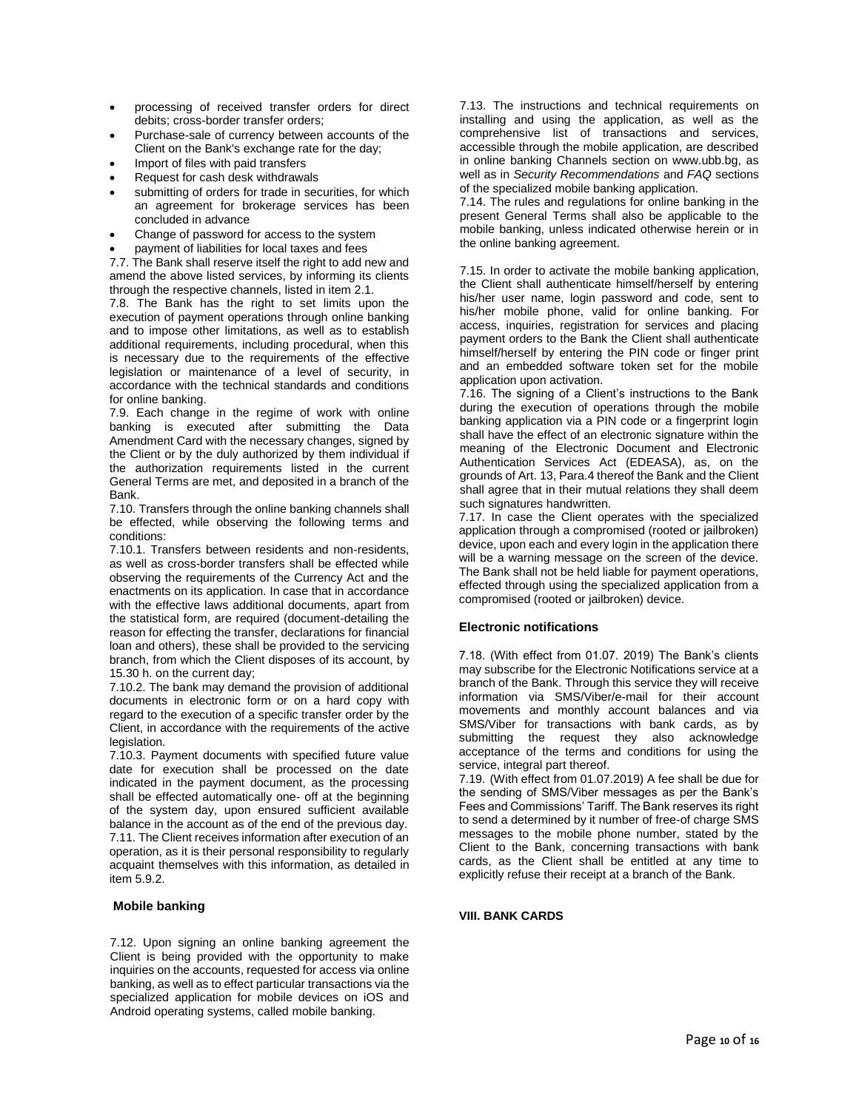- processing of received transfer orders for direct debits; cross-border transfer orders;
- Purchase-sale of currency between accounts of the Client on the Bank's exchange rate for the day;
- Import of files with paid transfers
- Request for cash desk withdrawals
- submitting of orders for trade in securities, for which an agreement for brokerage services has been concluded in advance
- Change of password for access to the system
- payment of liabilities for local taxes and fees

7.7. The Bank shall reserve itself the right to add new and amend the above listed services, by informing its clients through the respective channels, listed in item 2.1.

7.8. The Bank has the right to set limits upon the execution of payment operations through online banking and to impose other limitations, as well as to establish additional requirements, including procedural, when this is necessary due to the requirements of the effective legislation or maintenance of a level of security, in accordance with the technical standards and conditions for online banking.

7.9. Each change in the regime of work with online banking is executed after submitting the Data Amendment Card with the necessary changes, signed by the Client or by the duly authorized by them individual if the authorization requirements listed in the current General Terms are met, and deposited in a branch of the Bank.

7.10. Transfers through the online banking channels shall be effected, while observing the following terms and conditions:

7.10.1. Transfers between residents and non-residents, as well as cross-border transfers shall be effected while observing the requirements of the Currency Act and the enactments on its application. In case that in accordance with the effective laws additional documents, apart from the statistical form, are required (document-detailing the reason for effecting the transfer, declarations for financial loan and others), these shall be provided to the servicing branch, from which the Client disposes of its account, by 15.30 h. on the current day;

7.10.2. The bank may demand the provision of additional documents in electronic form or on a hard copy with regard to the execution of a specific transfer order by the Client, in accordance with the requirements of the active legislation.

7.10.3. Payment documents with specified future value date for execution shall be processed on the date indicated in the payment document, as the processing shall be effected automatically one- off at the beginning of the system day, upon ensured sufficient available balance in the account as of the end of the previous day. 7.11. The Client receives information after execution of an operation, as it is their personal responsibility to regularly acquaint themselves with this information, as detailed in item 5.9.2.

# **Mobile banking**

7.12. Upon signing an online banking agreement the Client is being provided with the opportunity to make inquiries on the accounts, requested for access via online banking, as well as to effect particular transactions via the specialized application for mobile devices on iOS and Android operating systems, called mobile banking.

7.13. The instructions and technical requirements on installing and using the application, as well as the comprehensive list of transactions and services, accessible through the mobile application, are described in online banking Channels section on www.ubb.bg, as well as in *Security Recommendations* and *FAQ* sections of the specialized mobile banking application.

7.14. The rules and regulations for online banking in the present General Terms shall also be applicable to the mobile banking, unless indicated otherwise herein or in the online banking agreement.

7.15. In order to activate the mobile banking application, the Client shall authenticate himself/herself by entering his/her user name, login password and code, sent to his/her mobile phone, valid for online banking. For access, inquiries, registration for services and placing payment orders to the Bank the Client shall authenticate himself/herself by entering the PIN code or finger print and an embedded software token set for the mobile application upon activation.

7.16. The signing of a Client's instructions to the Bank during the execution of operations through the mobile banking application via a PIN code or a fingerprint login shall have the effect of an electronic signature within the meaning of the Electronic Document and Electronic Authentication Services Act (EDEASA), as, on the grounds of Art. 13, Para.4 thereof the Bank and the Client shall agree that in their mutual relations they shall deem such signatures handwritten.

7.17. In case the Client operates with the specialized application through a compromised (rooted or jailbroken) device, upon each and every login in the application there will be a warning message on the screen of the device. The Bank shall not be held liable for payment operations, effected through using the specialized application from a compromised (rooted or jailbroken) device.

# **Electronic notifications**

7.18. (With effect from 01.07. 2019) The Bank's clients may subscribe for the Electronic Notifications service at a branch of the Bank. Through this service they will receive information via SMS/Viber/e-mail for their account movements and monthly account balances and via SMS/Viber for transactions with bank cards, as by submitting the request they also acknowledge acceptance of the terms and conditions for using the service, integral part thereof.

7.19. (With effect from 01.07.2019) A fee shall be due for the sending of SMS/Viber messages as per the Bank's Fees and Commissions' Tariff. The Bank reserves its right to send a determined by it number of free-of charge SMS messages to the mobile phone number, stated by the Client to the Bank, concerning transactions with bank cards, as the Client shall be entitled at any time to explicitly refuse their receipt at a branch of the Bank.

# **VIII. BANK CARDS**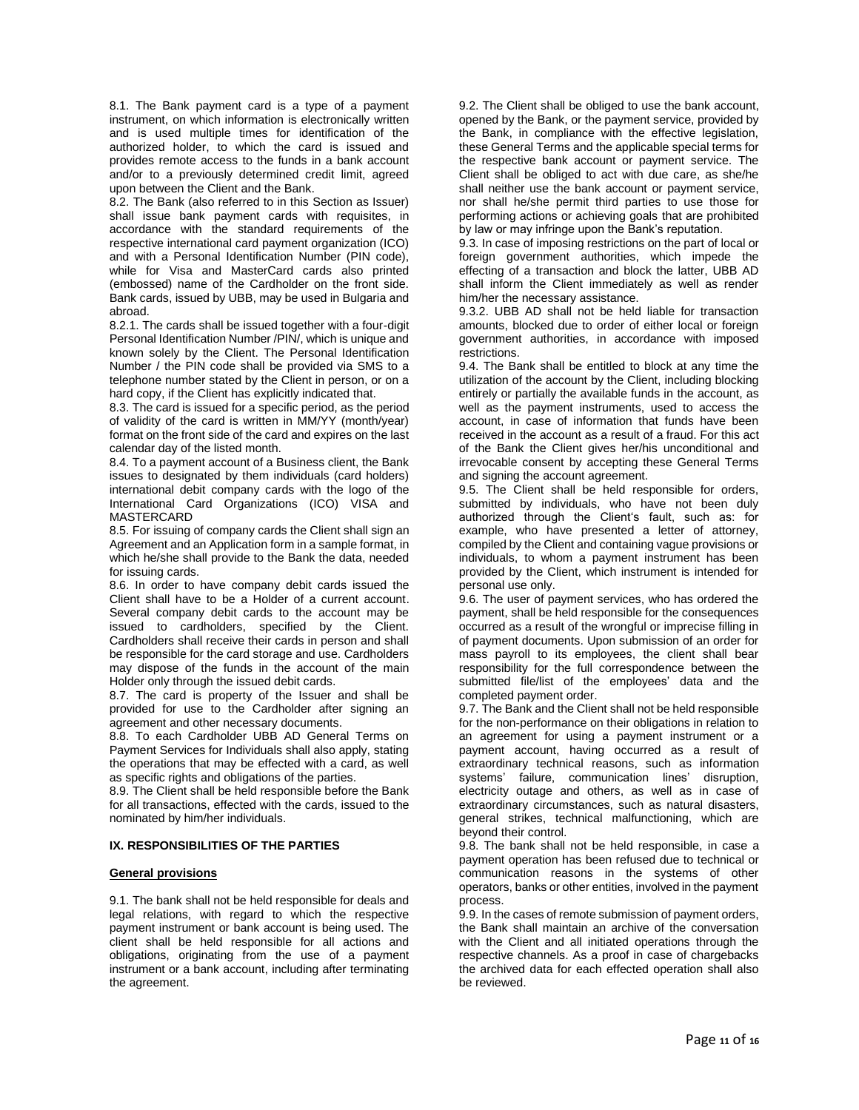8.1. The Bank payment card is a type of a payment instrument, on which information is electronically written and is used multiple times for identification of the authorized holder, to which the card is issued and provides remote access to the funds in a bank account and/or to a previously determined credit limit, agreed upon between the Client and the Bank.

8.2. The Bank (also referred to in this Section as Issuer) shall issue bank payment cards with requisites, in accordance with the standard requirements of the respective international card payment organization (ICO) and with a Personal Identification Number (PIN code), while for Visa and MasterCard cards also printed (embossed) name of the Cardholder on the front side. Bank cards, issued by UBB, may be used in Bulgaria and abroad.

8.2.1. The cards shall be issued together with a four-digit Personal Identification Number /PIN/, which is unique and known solely by the Client. The Personal Identification Number / the PIN code shall be provided via SMS to a telephone number stated by the Client in person, or on a hard copy, if the Client has explicitly indicated that.

8.3. The card is issued for a specific period, as the period of validity of the card is written in MM/YY (month/year) format on the front side of the card and expires on the last calendar day of the listed month.

8.4. To a payment account of a Business client, the Bank issues to designated by them individuals (card holders) international debit company cards with the logo of the International Card Organizations (ICO) VISA and MASTERCARD

8.5. For issuing of company cards the Client shall sign an Agreement and an Application form in a sample format, in which he/she shall provide to the Bank the data, needed for issuing cards.

8.6. In order to have company debit cards issued the Client shall have to be a Holder of a current account. Several company debit cards to the account may be issued to cardholders, specified by the Client. Cardholders shall receive their cards in person and shall be responsible for the card storage and use. Cardholders may dispose of the funds in the account of the main Holder only through the issued debit cards.

8.7. The card is property of the Issuer and shall be provided for use to the Cardholder after signing an agreement and other necessary documents.

8.8. To each Cardholder UBB AD General Terms on Payment Services for Individuals shall also apply, stating the operations that may be effected with a card, as well as specific rights and obligations of the parties.

8.9. The Client shall be held responsible before the Bank for all transactions, effected with the cards, issued to the nominated by him/her individuals.

# **IX. RESPONSIBILITIES OF THE PARTIES**

# **General provisions**

9.1. The bank shall not be held responsible for deals and legal relations, with regard to which the respective payment instrument or bank account is being used. The client shall be held responsible for all actions and obligations, originating from the use of a payment instrument or a bank account, including after terminating the agreement.

9.2. The Client shall be obliged to use the bank account, opened by the Bank, or the payment service, provided by the Bank, in compliance with the effective legislation, these General Terms and the applicable special terms for the respective bank account or payment service. The Client shall be obliged to act with due care, as she/he shall neither use the bank account or payment service, nor shall he/she permit third parties to use those for performing actions or achieving goals that are prohibited by law or may infringe upon the Bank's reputation.

9.3. In case of imposing restrictions on the part of local or foreign government authorities, which impede the effecting of a transaction and block the latter, UBB AD shall inform the Client immediately as well as render him/her the necessary assistance.

9.3.2. UBB AD shall not be held liable for transaction amounts, blocked due to order of either local or foreign government authorities, in accordance with imposed restrictions.

9.4. The Bank shall be entitled to block at any time the utilization of the account by the Client, including blocking entirely or partially the available funds in the account, as well as the payment instruments, used to access the account, in case of information that funds have been received in the account as a result of a fraud. For this act of the Bank the Client gives her/his unconditional and irrevocable consent by accepting these General Terms and signing the account agreement.

9.5. The Client shall be held responsible for orders, submitted by individuals, who have not been duly authorized through the Client's fault, such as: for example, who have presented a letter of attorney, compiled by the Client and containing vague provisions or individuals, to whom a payment instrument has been provided by the Client, which instrument is intended for personal use only.

9.6. The user of payment services, who has ordered the payment, shall be held responsible for the consequences occurred as a result of the wrongful or imprecise filling in of payment documents. Upon submission of an order for mass payroll to its employees, the client shall bear responsibility for the full correspondence between the submitted file/list of the employees' data and the completed payment order.

9.7. The Bank and the Client shall not be held responsible for the non-performance on their obligations in relation to an agreement for using a payment instrument or a payment account, having occurred as a result of extraordinary technical reasons, such as information systems' failure, communication lines' disruption, electricity outage and others, as well as in case of extraordinary circumstances, such as natural disasters, general strikes, technical malfunctioning, which are beyond their control.

9.8. The bank shall not be held responsible, in case a payment operation has been refused due to technical or communication reasons in the systems of other operators, banks or other entities, involved in the payment process.

9.9. In the cases of remote submission of payment orders, the Bank shall maintain an archive of the conversation with the Client and all initiated operations through the respective channels. As a proof in case of chargebacks the archived data for each effected operation shall also be reviewed.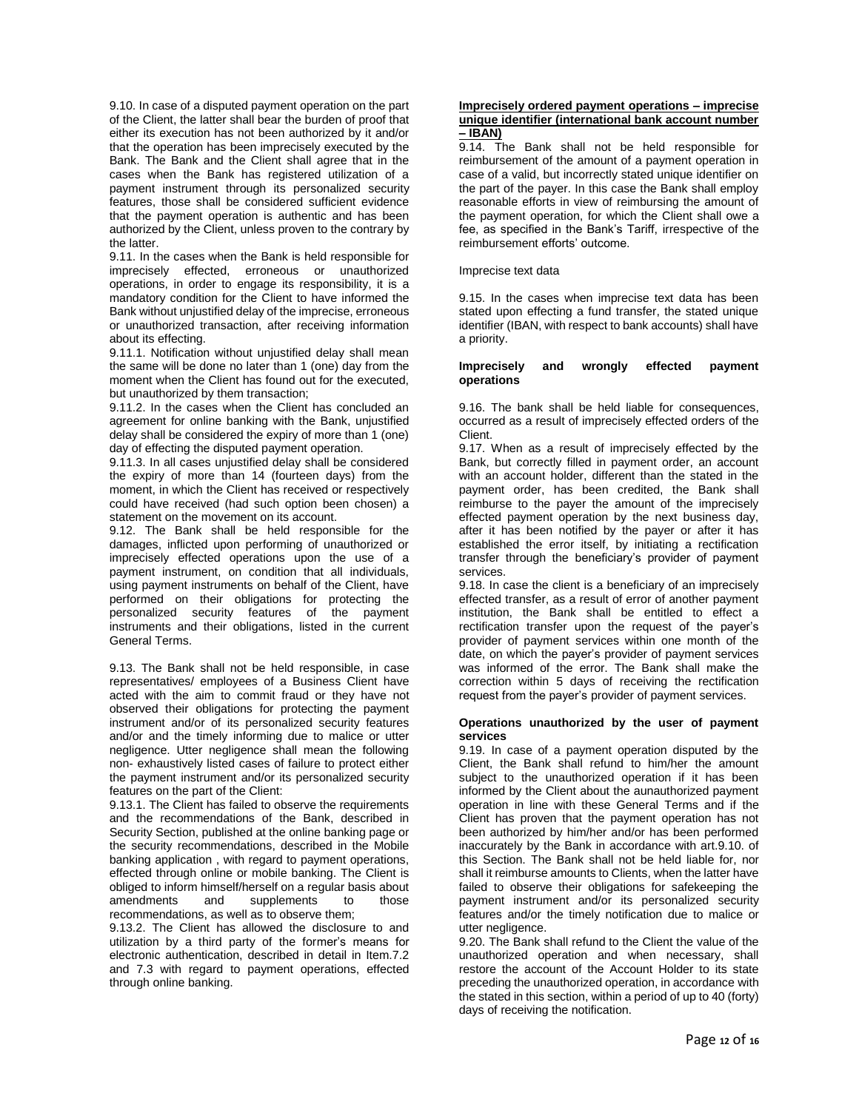9.10. In case of a disputed payment operation on the part of the Client, the latter shall bear the burden of proof that either its execution has not been authorized by it and/or that the operation has been imprecisely executed by the Bank. The Bank and the Client shall agree that in the cases when the Bank has registered utilization of a payment instrument through its personalized security features, those shall be considered sufficient evidence that the payment operation is authentic and has been authorized by the Client, unless proven to the contrary by the latter.

9.11. In the cases when the Bank is held responsible for imprecisely effected, erroneous or unauthorized operations, in order to engage its responsibility, it is a mandatory condition for the Client to have informed the Bank without unjustified delay of the imprecise, erroneous or unauthorized transaction, after receiving information about its effecting.

9.11.1. Notification without unjustified delay shall mean the same will be done no later than 1 (one) day from the moment when the Client has found out for the executed, but unauthorized by them transaction;

9.11.2. In the cases when the Client has concluded an agreement for online banking with the Bank, unjustified delay shall be considered the expiry of more than 1 (one) day of effecting the disputed payment operation.

9.11.3. In all cases unjustified delay shall be considered the expiry of more than 14 (fourteen days) from the moment, in which the Client has received or respectively could have received (had such option been chosen) a statement on the movement on its account.

9.12. The Bank shall be held responsible for the damages, inflicted upon performing of unauthorized or imprecisely effected operations upon the use of a payment instrument, on condition that all individuals, using payment instruments on behalf of the Client, have performed on their obligations for protecting the personalized security features of the payment instruments and their obligations, listed in the current General Terms.

9.13. The Bank shall not be held responsible, in case representatives/ employees of a Business Client have acted with the aim to commit fraud or they have not observed their obligations for protecting the payment instrument and/or of its personalized security features and/or and the timely informing due to malice or utter negligence. Utter negligence shall mean the following non- exhaustively listed cases of failure to protect either the payment instrument and/or its personalized security features on the part of the Client:

9.13.1. The Client has failed to observe the requirements and the recommendations of the Bank, described in Security Section, published at the online banking page or the security recommendations, described in the Mobile banking application , with regard to payment operations, effected through online or mobile banking. The Client is obliged to inform himself/herself on a regular basis about amendments and supplements to those recommendations, as well as to observe them;

9.13.2. The Client has allowed the disclosure to and utilization by a third party of the former's means for electronic authentication, described in detail in Item.7.2 and 7.3 with regard to payment operations, effected through online banking.

#### **Imprecisely ordered payment operations – imprecise unique identifier (international bank account number – IBAN)**

9.14. The Bank shall not be held responsible for reimbursement of the amount of a payment operation in case of a valid, but incorrectly stated unique identifier on the part of the payer. In this case the Bank shall employ reasonable efforts in view of reimbursing the amount of the payment operation, for which the Client shall owe a fee, as specified in the Bank's Tariff, irrespective of the reimbursement efforts' outcome.

#### Imprecise text data

9.15. In the cases when imprecise text data has been stated upon effecting a fund transfer, the stated unique identifier (IBAN, with respect to bank accounts) shall have a priority.

#### **Imprecisely and wrongly effected payment operations**

9.16. The bank shall be held liable for consequences, occurred as a result of imprecisely effected orders of the Client.

9.17. When as a result of imprecisely effected by the Bank, but correctly filled in payment order, an account with an account holder, different than the stated in the payment order, has been credited, the Bank shall reimburse to the payer the amount of the imprecisely effected payment operation by the next business day, after it has been notified by the payer or after it has established the error itself, by initiating a rectification transfer through the beneficiary's provider of payment services.

9.18. In case the client is a beneficiary of an imprecisely effected transfer, as a result of error of another payment institution, the Bank shall be entitled to effect a rectification transfer upon the request of the payer's provider of payment services within one month of the date, on which the payer's provider of payment services was informed of the error. The Bank shall make the correction within 5 days of receiving the rectification request from the payer's provider of payment services.

#### **Operations unauthorized by the user of payment services**

9.19. In case of a payment operation disputed by the Client, the Bank shall refund to him/her the amount subject to the unauthorized operation if it has been informed by the Client about the aunauthorized payment operation in line with these General Terms and if the Client has proven that the payment operation has not been authorized by him/her and/or has been performed inaccurately by the Bank in accordance with art.9.10. of this Section. The Bank shall not be held liable for, nor shall it reimburse amounts to Clients, when the latter have failed to observe their obligations for safekeeping the payment instrument and/or its personalized security features and/or the timely notification due to malice or utter negligence.

9.20. The Bank shall refund to the Client the value of the unauthorized operation and when necessary, shall restore the account of the Account Holder to its state preceding the unauthorized operation, in accordance with the stated in this section, within a period of up to 40 (forty) days of receiving the notification.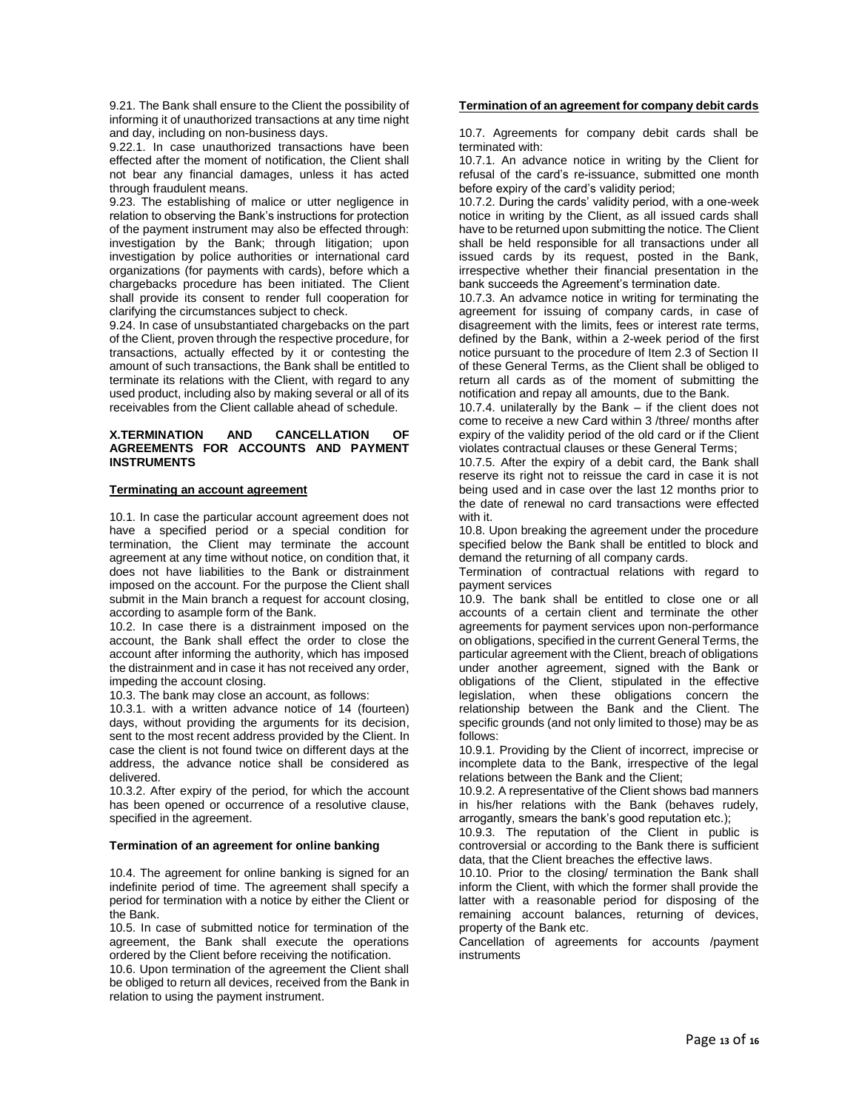9.21. The Bank shall ensure to the Client the possibility of informing it of unauthorized transactions at any time night and day, including on non-business days.

9.22.1. In case unauthorized transactions have been effected after the moment of notification, the Client shall not bear any financial damages, unless it has acted through fraudulent means.

9.23. The establishing of malice or utter negligence in relation to observing the Bank's instructions for protection of the payment instrument may also be effected through: investigation by the Bank; through litigation; upon investigation by police authorities or international card organizations (for payments with cards), before which a chargebacks procedure has been initiated. The Client shall provide its consent to render full cooperation for clarifying the circumstances subject to check.

9.24. In case of unsubstantiated chargebacks on the part of the Client, proven through the respective procedure, for transactions, actually effected by it or contesting the amount of such transactions, the Bank shall be entitled to terminate its relations with the Client, with regard to any used product, including also by making several or all of its receivables from the Client callable ahead of schedule.

# **X.TERMINATION AND CANCELLATION OF AGREEMENTS FOR ACCOUNTS AND PAYMENT INSTRUMENTS**

# **Terminating an account agreement**

10.1. In case the particular account agreement does not have a specified period or a special condition for termination, the Client may terminate the account agreement at any time without notice, on condition that, it does not have liabilities to the Bank or distrainment imposed on the account. For the purpose the Client shall submit in the Main branch a request for account closing, according to asample form of the Bank.

10.2. In case there is a distrainment imposed on the account, the Bank shall effect the order to close the account after informing the authority, which has imposed the distrainment and in case it has not received any order, impeding the account closing.

10.3. The bank may close an account, as follows:

10.3.1. with a written advance notice of 14 (fourteen) days, without providing the arguments for its decision, sent to the most recent address provided by the Client. In case the client is not found twice on different days at the address, the advance notice shall be considered as delivered.

10.3.2. After expiry of the period, for which the account has been opened or occurrence of a resolutive clause, specified in the agreement.

# **Termination of an agreement for online banking**

10.4. The agreement for online banking is signed for an indefinite period of time. The agreement shall specify a period for termination with a notice by either the Client or the Bank.

10.5. In case of submitted notice for termination of the agreement, the Bank shall execute the operations ordered by the Client before receiving the notification.

10.6. Upon termination of the agreement the Client shall be obliged to return all devices, received from the Bank in relation to using the payment instrument.

#### **Termination of an agreement for company debit cards**

10.7. Agreements for company debit cards shall be terminated with:

10.7.1. An advance notice in writing by the Client for refusal of the card's re-issuance, submitted one month before expiry of the card's validity period;

10.7.2. During the cards' validity period, with a one-week notice in writing by the Client, as all issued cards shall have to be returned upon submitting the notice. The Client shall be held responsible for all transactions under all issued cards by its request, posted in the Bank, irrespective whether their financial presentation in the bank succeeds the Agreement's termination date.

10.7.3. An advamce notice in writing for terminating the agreement for issuing of company cards, in case of disagreement with the limits, fees or interest rate terms, defined by the Bank, within a 2-week period of the first notice pursuant to the procedure of Item 2.3 of Section II of these General Terms, as the Client shall be obliged to return all cards as of the moment of submitting the notification and repay all amounts, due to the Bank.

10.7.4. unilaterally by the Bank – if the client does not come to receive a new Card within 3 /three/ months after expiry of the validity period of the old card or if the Client violates contractual clauses or these General Terms;

10.7.5. After the expiry of a debit card, the Bank shall reserve its right not to reissue the card in case it is not being used and in case over the last 12 months prior to the date of renewal no card transactions were effected with it.

10.8. Upon breaking the agreement under the procedure specified below the Bank shall be entitled to block and demand the returning of all company cards.

Termination of contractual relations with regard to payment services

10.9. The bank shall be entitled to close one or all accounts of a certain client and terminate the other agreements for payment services upon non-performance on obligations, specified in the current General Terms, the particular agreement with the Client, breach of obligations under another agreement, signed with the Bank or obligations of the Client, stipulated in the effective legislation, when these obligations concern the relationship between the Bank and the Client. The specific grounds (and not only limited to those) may be as follows:

10.9.1. Providing by the Client of incorrect, imprecise or incomplete data to the Bank, irrespective of the legal relations between the Bank and the Client;

10.9.2. A representative of the Client shows bad manners in his/her relations with the Bank (behaves rudely, arrogantly, smears the bank's good reputation etc.);

10.9.3. The reputation of the Client in public is controversial or according to the Bank there is sufficient data, that the Client breaches the effective laws.

10.10. Prior to the closing/ termination the Bank shall inform the Client, with which the former shall provide the latter with a reasonable period for disposing of the remaining account balances, returning of devices, property of the Bank etc.

Cancellation of agreements for accounts /payment instruments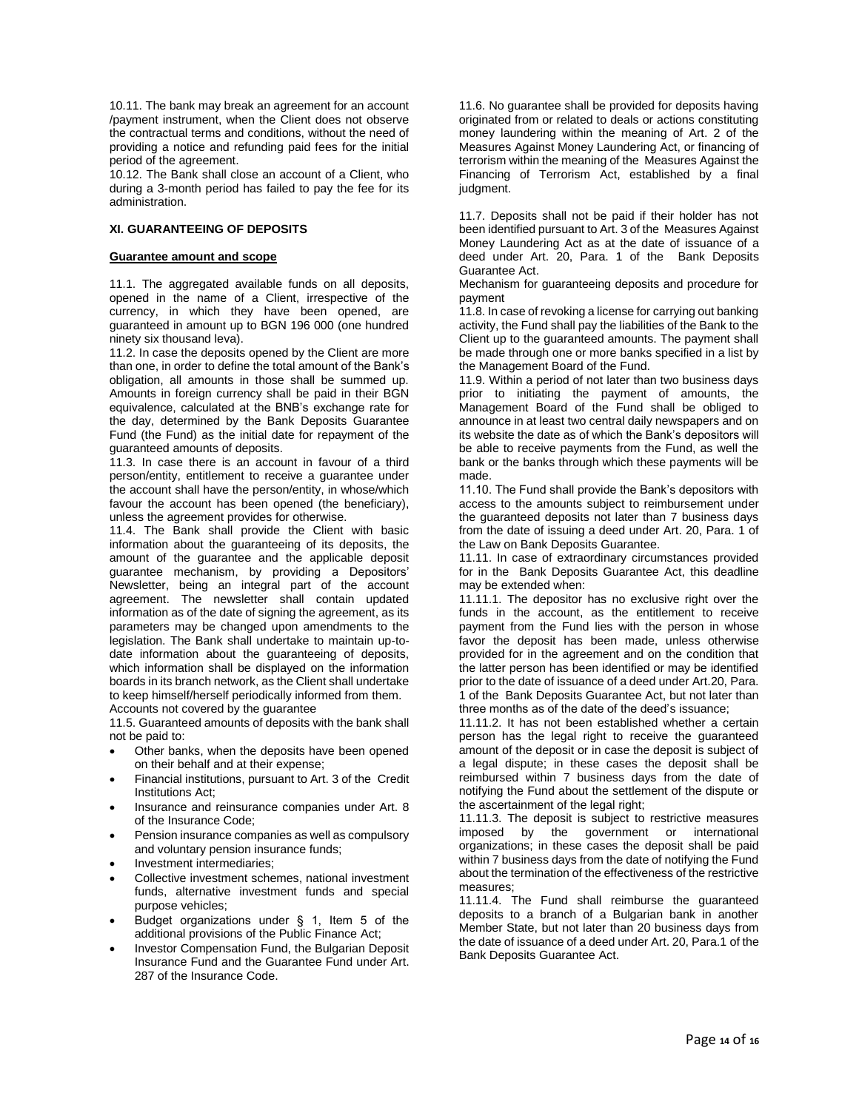10.11. The bank may break an agreement for an account /payment instrument, when the Client does not observe the contractual terms and conditions, without the need of providing a notice and refunding paid fees for the initial period of the agreement.

10.12. The Bank shall close an account of a Client, who during a 3-month period has failed to pay the fee for its administration.

# **XI. GUARANTEEING OF DEPOSITS**

#### **Guarantee amount and scope**

11.1. The aggregated available funds on all deposits, opened in the name of a Client, irrespective of the currency, in which they have been opened, are guaranteed in amount up to BGN 196 000 (one hundred ninety six thousand leva).

11.2. In case the deposits opened by the Client are more than one, in order to define the total amount of the Bank's obligation, all amounts in those shall be summed up. Amounts in foreign currency shall be paid in their BGN equivalence, calculated at the BNB's exchange rate for the day, determined by the Bank Deposits Guarantee Fund (the Fund) as the initial date for repayment of the guaranteed amounts of deposits.

11.3. In case there is an account in favour of a third person/entity, entitlement to receive a guarantee under the account shall have the person/entity, in whose/which favour the account has been opened (the beneficiary), unless the agreement provides for otherwise.

11.4. The Bank shall provide the Client with basic information about the guaranteeing of its deposits, the amount of the guarantee and the applicable deposit guarantee mechanism, by providing a Depositors' Newsletter, being an integral part of the account agreement. The newsletter shall contain updated information as of the date of signing the agreement, as its parameters may be changed upon amendments to the legislation. The Bank shall undertake to maintain up-todate information about the guaranteeing of deposits, which information shall be displayed on the information boards in its branch network, as the Client shall undertake to keep himself/herself periodically informed from them. Accounts not covered by the guarantee

11.5. Guaranteed amounts of deposits with the bank shall not be paid to:

- Other banks, when the deposits have been opened on their behalf and at their expense;
- Financial institutions, pursuant to Art. 3 of the Credit Institutions Act;
- Insurance and reinsurance companies under Art. 8 of the Insurance Code;
- Pension insurance companies as well as compulsory and voluntary pension insurance funds;
- Investment intermediaries;
- Collective investment schemes, national investment funds, alternative investment funds and special purpose vehicles;
- Budget organizations under § 1, Item 5 of the additional provisions of the Public Finance Act;
- Investor Compensation Fund, the Bulgarian Deposit Insurance Fund and the Guarantee Fund under Art. 287 of the Insurance Code.

11.6. No guarantee shall be provided for deposits having originated from or related to deals or actions constituting money laundering within the meaning of Art. 2 of the Measures Against Money Laundering Act, or financing of terrorism within the meaning of the Measures Against the Financing of Terrorism Act, established by a final judgment.

11.7. Deposits shall not be paid if their holder has not been identified pursuant to Art. 3 of the Measures Against Money Laundering Act as at the date of issuance of a deed under Art. 20, Para. 1 of the Bank Deposits Guarantee Act.

Mechanism for guaranteeing deposits and procedure for payment

11.8. In case of revoking a license for carrying out banking activity, the Fund shall pay the liabilities of the Bank to the Client up to the guaranteed amounts. The payment shall be made through one or more banks specified in a list by the Management Board of the Fund.

11.9. Within a period of not later than two business days prior to initiating the payment of amounts, the Management Board of the Fund shall be obliged to announce in at least two central daily newspapers and on its website the date as of which the Bank's depositors will be able to receive payments from the Fund, as well the bank or the banks through which these payments will be made.

11.10. The Fund shall provide the Bank's depositors with access to the amounts subject to reimbursement under the guaranteed deposits not later than 7 business days from the date of issuing a deed under Art. 20, Para. 1 of the Law on Bank Deposits Guarantee.

11.11. In case of extraordinary circumstances provided for in the Bank Deposits Guarantee Act, this deadline may be extended when:

11.11.1. The depositor has no exclusive right over the funds in the account, as the entitlement to receive payment from the Fund lies with the person in whose favor the deposit has been made, unless otherwise provided for in the agreement and on the condition that the latter person has been identified or may be identified prior to the date of issuance of a deed under Art.20, Para. 1 of the Bank Deposits Guarantee Act, but not later than three months as of the date of the deed's issuance;

11.11.2. It has not been established whether a certain person has the legal right to receive the guaranteed amount of the deposit or in case the deposit is subject of a legal dispute; in these cases the deposit shall be reimbursed within 7 business days from the date of notifying the Fund about the settlement of the dispute or the ascertainment of the legal right;

11.11.3. The deposit is subject to restrictive measures imposed by the government or international organizations; in these cases the deposit shall be paid within 7 business days from the date of notifying the Fund about the termination of the effectiveness of the restrictive measures;

11.11.4. The Fund shall reimburse the guaranteed deposits to a branch of a Bulgarian bank in another Member State, but not later than 20 business days from the date of issuance of a deed under Art. 20, Para.1 of the Bank Deposits Guarantee Act.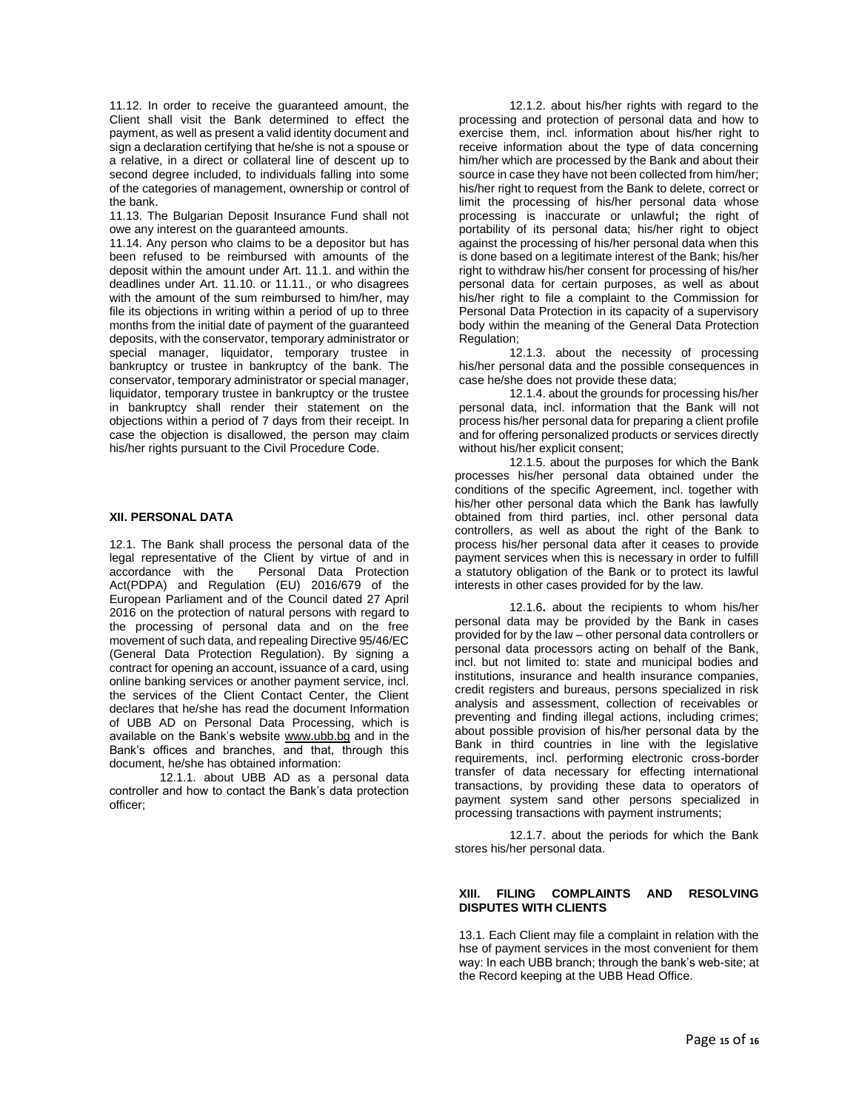11.12. In order to receive the guaranteed amount, the Client shall visit the Bank determined to effect the payment, as well as present a valid identity document and sign a declaration certifying that he/she is not a spouse or a relative, in a direct or collateral line of descent up to second degree included, to individuals falling into some of the categories of management, ownership or control of the bank.

11.13. The Bulgarian Deposit Insurance Fund shall not owe any interest on the guaranteed amounts.

11.14. Any person who claims to be a depositor but has been refused to be reimbursed with amounts of the deposit within the amount under Art. 11.1. and within the deadlines under Art. 11.10. or 11.11., or who disagrees with the amount of the sum reimbursed to him/her, may file its objections in writing within a period of up to three months from the initial date of payment of the guaranteed deposits, with the conservator, temporary administrator or special manager, liquidator, temporary trustee in bankruptcy or trustee in bankruptcy of the bank. The conservator, temporary administrator or special manager, liquidator, temporary trustee in bankruptcy or the trustee in bankruptcy shall render their statement on the objections within a period of 7 days from their receipt. In case the objection is disallowed, the person may claim his/her rights pursuant to the Civil Procedure Code.

# **XII. PERSONAL DATA**

12.1. The Bank shall process the personal data of the legal representative of the Client by virtue of and in Personal Data Protection Act(PDPA) and Regulation (EU) 2016/679 of the European Parliament and of the Council dated 27 April 2016 on the protection of natural persons with regard to the processing of personal data and on the free movement of such data, and repealing Directive 95/46/EC (General Data Protection Regulation). By signing a contract for opening an account, issuance of a card, using online banking services or another payment service, incl. the services of the Client Contact Center, the Client declares that he/she has read the document Information of UBB AD on Personal Data Processing, which is available on the Bank's website [www.ubb.bg](http://www.ubb.bg/) and in the Bank's offices and branches, and that, through this document, he/she has obtained information:

12.1.1. about UBB AD as a personal data controller and how to contact the Bank's data protection officer;

12.1.2. about his/her rights with regard to the processing and protection of personal data and how to exercise them, incl. information about his/her right to receive information about the type of data concerning him/her which are processed by the Bank and about their source in case they have not been collected from him/her; his/her right to request from the Bank to delete, correct or limit the processing of his/her personal data whose processing is inaccurate or unlawful**;** the right of portability of its personal data; his/her right to object against the processing of his/her personal data when this is done based on a legitimate interest of the Bank; his/her right to withdraw his/her consent for processing of his/her personal data for certain purposes, as well as about his/her right to file a complaint to the Commission for Personal Data Protection in its capacity of a supervisory body within the meaning of the General Data Protection Regulation;

12.1.3. about the necessity of processing his/her personal data and the possible consequences in case he/she does not provide these data;

12.1.4. about the grounds for processing his/her personal data, incl. information that the Bank will not process his/her personal data for preparing a client profile and for offering personalized products or services directly without his/her explicit consent;

12.1.5. about the purposes for which the Bank processes his/her personal data obtained under the conditions of the specific Agreement, incl. together with his/her other personal data which the Bank has lawfully obtained from third parties, incl. other personal data controllers, as well as about the right of the Bank to process his/her personal data after it ceases to provide payment services when this is necessary in order to fulfill a statutory obligation of the Bank or to protect its lawful interests in other cases provided for by the law.

12.1.6**.** about the recipients to whom his/her personal data may be provided by the Bank in cases provided for by the law – other personal data controllers or personal data processors acting on behalf of the Bank, incl. but not limited to: state and municipal bodies and institutions, insurance and health insurance companies, credit registers and bureaus, persons specialized in risk analysis and assessment, collection of receivables or preventing and finding illegal actions, including crimes; about possible provision of his/her personal data by the Bank in third countries in line with the legislative requirements, incl. performing electronic cross-border transfer of data necessary for effecting international transactions, by providing these data to operators of payment system sand other persons specialized in processing transactions with payment instruments;

12.1.7. about the periods for which the Bank stores his/her personal data.

#### **XIII. FILING COMPLAINTS AND RESOLVING DISPUTES WITH CLIENTS**

13.1. Each Client may file a complaint in relation with the hse of payment services in the most convenient for them way: In each UBB branch; through the bank's web-site; at the Record keeping at the UBB Head Office.